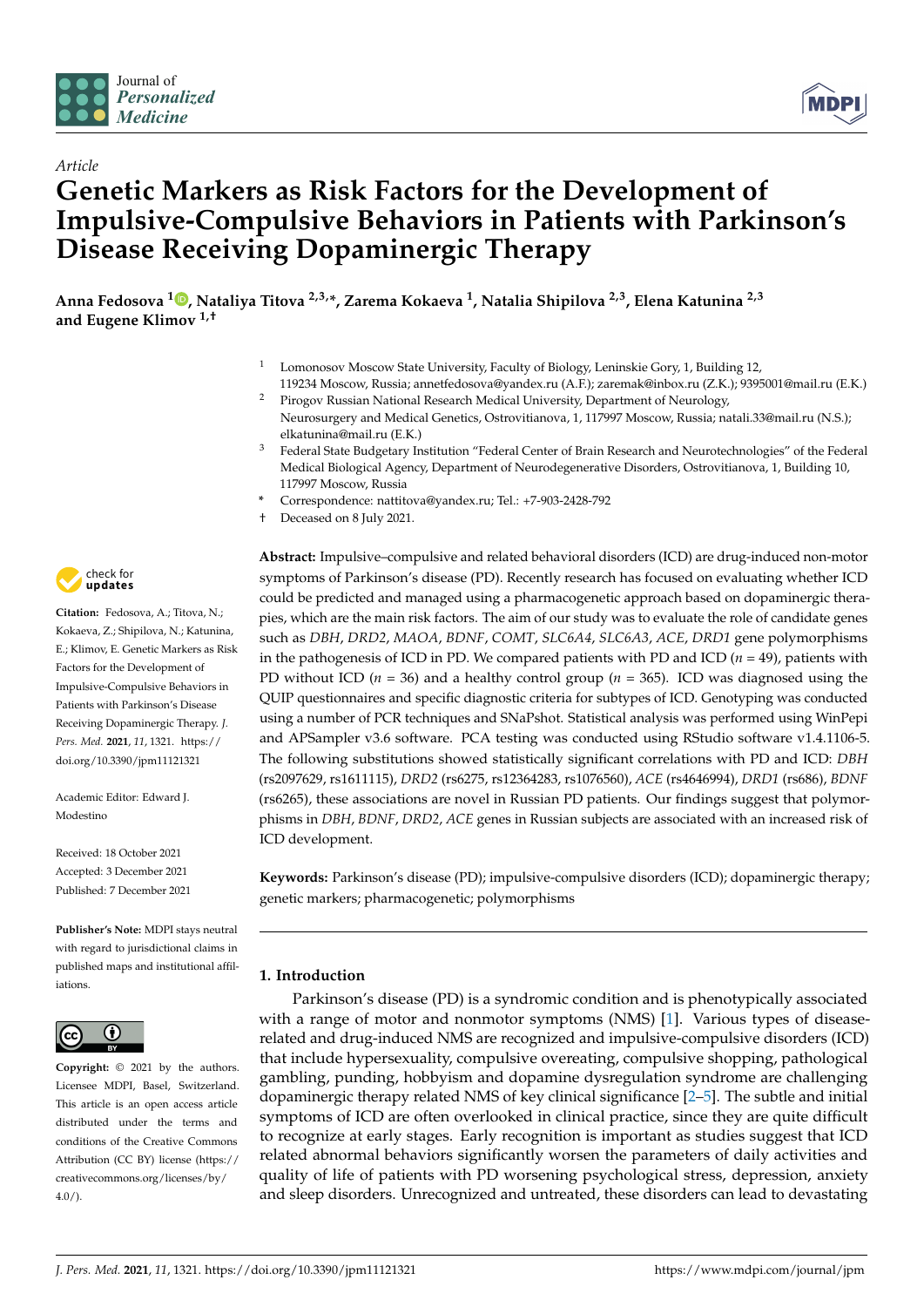

*Article*



# **Genetic Markers as Risk Factors for the Development of Impulsive-Compulsive Behaviors in Patients with Parkinson's Disease Receiving Dopaminergic Therapy**

**Anna Fedosova [1](https://orcid.org/0000-0003-3284-469X) , Nataliya Titova 2,3,\*, Zarema Kokaeva <sup>1</sup> , Natalia Shipilova 2,3, Elena Katunina 2,3 and Eugene Klimov 1,†**

- <sup>1</sup> Lomonosov Moscow State University, Faculty of Biology, Leninskie Gory, 1, Building 12,
- 119234 Moscow, Russia; annetfedosova@yandex.ru (A.F.); zaremak@inbox.ru (Z.K.); 9395001@mail.ru (E.K.) Pirogov Russian National Research Medical University, Department of Neurology,
- Neurosurgery and Medical Genetics, Ostrovitianova, 1, 117997 Moscow, Russia; natali.33@mail.ru (N.S.); elkatunina@mail.ru (E.K.)
- <sup>3</sup> Federal State Budgetary Institution "Federal Center of Brain Research and Neurotechnologies" of the Federal Medical Biological Agency, Department of Neurodegenerative Disorders, Ostrovitianova, 1, Building 10, 117997 Moscow, Russia
- **\*** Correspondence: nattitova@yandex.ru; Tel.: +7-903-2428-792
- † Deceased on 8 July 2021.

**Abstract:** Impulsive–compulsive and related behavioral disorders (ICD) are drug-induced non-motor symptoms of Parkinson's disease (PD). Recently research has focused on evaluating whether ICD could be predicted and managed using a pharmacogenetic approach based on dopaminergic therapies, which are the main risk factors. The aim of our study was to evaluate the role of candidate genes such as *DBH*, *DRD2*, *MAOA*, *BDNF*, *COMT*, *SLC6A4*, *SLC6A3*, *ACE*, *DRD1* gene polymorphisms in the pathogenesis of ICD in PD. We compared patients with PD and ICD  $(n = 49)$ , patients with PD without ICD (*n* = 36) and a healthy control group (*n* = 365). ICD was diagnosed using the QUIP questionnaires and specific diagnostic criteria for subtypes of ICD. Genotyping was conducted using a number of PCR techniques and SNaPshot. Statistical analysis was performed using WinPepi and APSampler v3.6 software. PCA testing was conducted using RStudio software v1.4.1106-5. The following substitutions showed statistically significant correlations with PD and ICD: *DBH* (rs2097629, rs1611115), *DRD2* (rs6275, rs12364283, rs1076560), *ACE* (rs4646994), *DRD1* (rs686), *BDNF* (rs6265), these associations are novel in Russian PD patients. Our findings suggest that polymorphisms in *DBH*, *BDNF*, *DRD2*, *ACE* genes in Russian subjects are associated with an increased risk of ICD development.

**Keywords:** Parkinson's disease (PD); impulsive-compulsive disorders (ICD); dopaminergic therapy; genetic markers; pharmacogenetic; polymorphisms

# **1. Introduction**

Parkinson's disease (PD) is a syndromic condition and is phenotypically associated with a range of motor and nonmotor symptoms (NMS) [\[1\]](#page-14-0). Various types of diseaserelated and drug-induced NMS are recognized and impulsive-compulsive disorders (ICD) that include hypersexuality, compulsive overeating, compulsive shopping, pathological gambling, punding, hobbyism and dopamine dysregulation syndrome are challenging dopaminergic therapy related NMS of key clinical significance [\[2](#page-14-1)[–5\]](#page-14-2). The subtle and initial symptoms of ICD are often overlooked in clinical practice, since they are quite difficult to recognize at early stages. Early recognition is important as studies suggest that ICD related abnormal behaviors significantly worsen the parameters of daily activities and quality of life of patients with PD worsening psychological stress, depression, anxiety and sleep disorders. Unrecognized and untreated, these disorders can lead to devastating



**Citation:** Fedosova, A.; Titova, N.; Kokaeva, Z.; Shipilova, N.; Katunina, E.; Klimov, E. Genetic Markers as Risk Factors for the Development of Impulsive-Compulsive Behaviors in Patients with Parkinson's Disease Receiving Dopaminergic Therapy. *J. Pers. Med.* **2021**, *11*, 1321. [https://](https://doi.org/10.3390/jpm11121321) [doi.org/10.3390/jpm11121321](https://doi.org/10.3390/jpm11121321)

Academic Editor: Edward J. Modestino

Received: 18 October 2021 Accepted: 3 December 2021 Published: 7 December 2021

**Publisher's Note:** MDPI stays neutral with regard to jurisdictional claims in published maps and institutional affiliations.



**Copyright:** © 2021 by the authors. Licensee MDPI, Basel, Switzerland. This article is an open access article distributed under the terms and conditions of the Creative Commons Attribution (CC BY) license (https:/[/](https://creativecommons.org/licenses/by/4.0/) [creativecommons.org/licenses/by/](https://creativecommons.org/licenses/by/4.0/)  $4.0/$ ).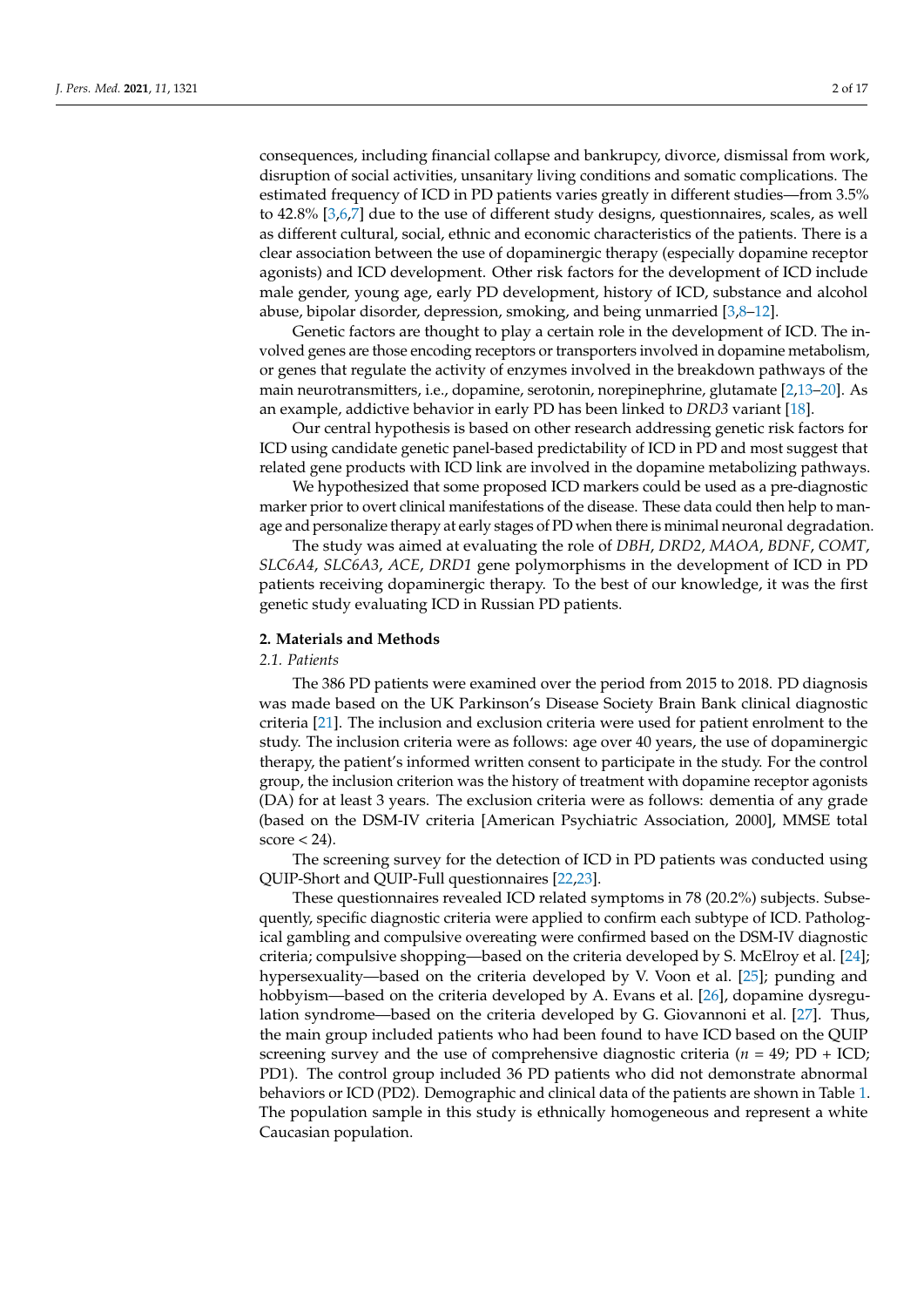consequences, including financial collapse and bankrupcy, divorce, dismissal from work, disruption of social activities, unsanitary living conditions and somatic complications. The estimated frequency of ICD in PD patients varies greatly in different studies—from 3.5% to 42.8% [\[3](#page-14-3)[,6](#page-14-4)[,7\]](#page-14-5) due to the use of different study designs, questionnaires, scales, as well as different cultural, social, ethnic and economic characteristics of the patients. There is a clear association between the use of dopaminergic therapy (especially dopamine receptor agonists) and ICD development. Other risk factors for the development of ICD include male gender, young age, early PD development, history of ICD, substance and alcohol abuse, bipolar disorder, depression, smoking, and being unmarried [\[3](#page-14-3)[,8](#page-14-6)[–12\]](#page-14-7).

Genetic factors are thought to play a certain role in the development of ICD. The involved genes are those encoding receptors or transporters involved in dopamine metabolism, or genes that regulate the activity of enzymes involved in the breakdown pathways of the main neurotransmitters, i.e., dopamine, serotonin, norepinephrine, glutamate [\[2,](#page-14-1)[13–](#page-14-8)[20\]](#page-14-9). As an example, addictive behavior in early PD has been linked to *DRD3* variant [\[18\]](#page-14-10).

Our central hypothesis is based on other research addressing genetic risk factors for ICD using candidate genetic panel-based predictability of ICD in PD and most suggest that related gene products with ICD link are involved in the dopamine metabolizing pathways.

We hypothesized that some proposed ICD markers could be used as a pre-diagnostic marker prior to overt clinical manifestations of the disease. These data could then help to manage and personalize therapy at early stages of PD when there is minimal neuronal degradation.

The study was aimed at evaluating the role of *DBH*, *DRD2*, *MAOA*, *BDNF*, *COMT*, *SLC6A4*, *SLC6A3*, *ACE*, *DRD1* gene polymorphisms in the development of ICD in PD patients receiving dopaminergic therapy. To the best of our knowledge, it was the first genetic study evaluating ICD in Russian PD patients.

#### **2. Materials and Methods**

## *2.1. Patients*

The 386 PD patients were examined over the period from 2015 to 2018. PD diagnosis was made based on the UK Parkinson's Disease Society Brain Bank clinical diagnostic criteria [\[21\]](#page-14-11). The inclusion and exclusion criteria were used for patient enrolment to the study. The inclusion criteria were as follows: age over 40 years, the use of dopaminergic therapy, the patient's informed written consent to participate in the study. For the control group, the inclusion criterion was the history of treatment with dopamine receptor agonists (DA) for at least 3 years. The exclusion criteria were as follows: dementia of any grade (based on the DSM-IV criteria [American Psychiatric Association, 2000], MMSE total  $score < 24$ ).

The screening survey for the detection of ICD in PD patients was conducted using QUIP-Short and QUIP-Full questionnaires [\[22](#page-14-12)[,23\]](#page-14-13).

These questionnaires revealed ICD related symptoms in 78 (20.2%) subjects. Subsequently, specific diagnostic criteria were applied to confirm each subtype of ICD. Pathological gambling and compulsive overeating were confirmed based on the DSM-IV diagnostic criteria; compulsive shopping—based on the criteria developed by S. McElroy et al. [\[24\]](#page-14-14); hypersexuality—based on the criteria developed by V. Voon et al. [\[25\]](#page-15-0); punding and hobbyism—based on the criteria developed by A. Evans et al. [\[26\]](#page-15-1), dopamine dysregulation syndrome—based on the criteria developed by G. Giovannoni et al. [\[27\]](#page-15-2). Thus, the main group included patients who had been found to have ICD based on the QUIP screening survey and the use of comprehensive diagnostic criteria (*n* = 49; PD + ICD; PD1). The control group included 36 PD patients who did not demonstrate abnormal behaviors or ICD (PD2). Demographic and clinical data of the patients are shown in Table [1.](#page-2-0) The population sample in this study is ethnically homogeneous and represent a white Caucasian population.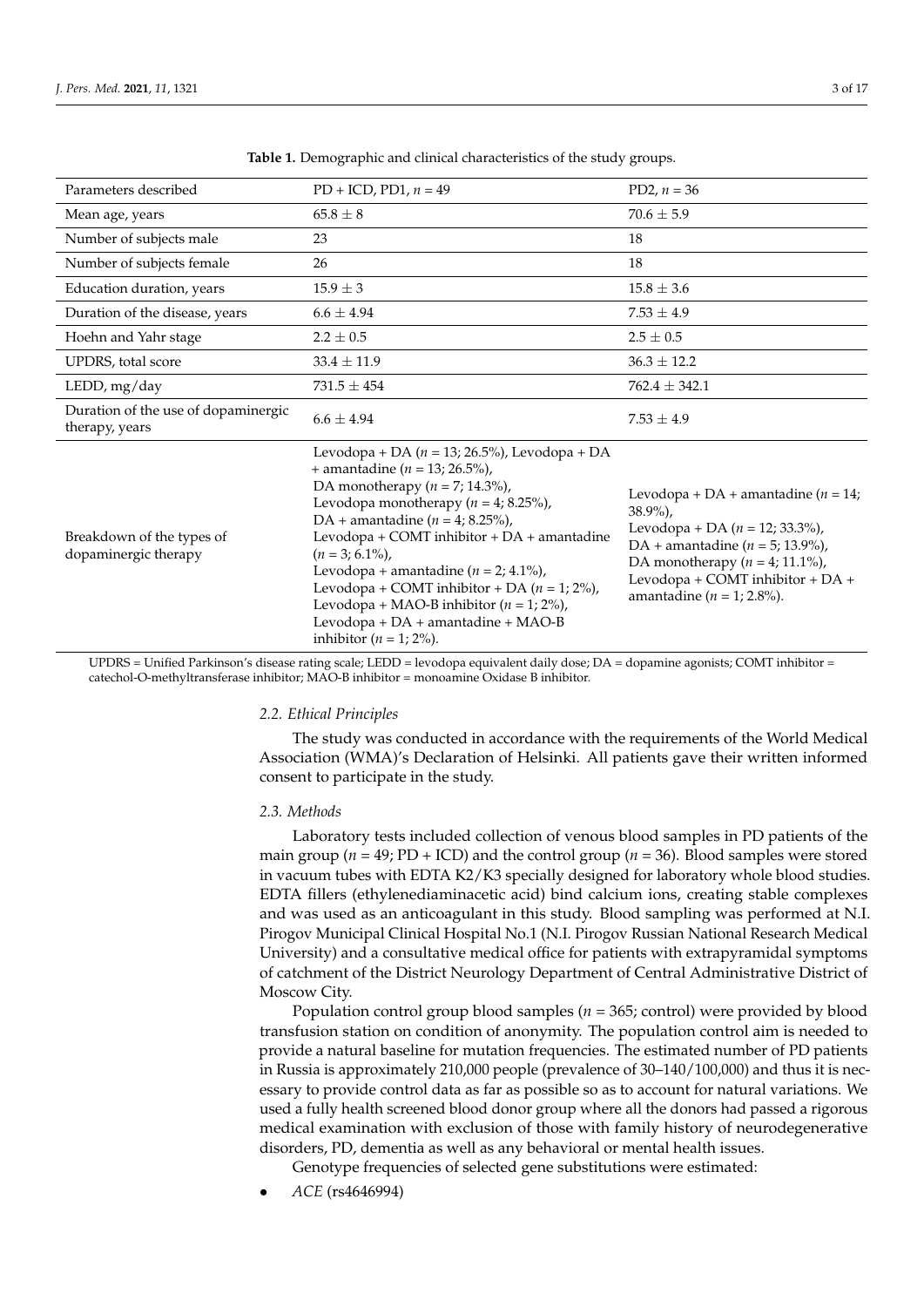<span id="page-2-0"></span>

| Parameters described                                  | $PD + ICD$ , $PD1$ , $n = 49$                                                                                                                                                                                                                                                                                                                                                                                                                                                                         | PD2, $n = 36$                                                                                                                                                                                                                                 |
|-------------------------------------------------------|-------------------------------------------------------------------------------------------------------------------------------------------------------------------------------------------------------------------------------------------------------------------------------------------------------------------------------------------------------------------------------------------------------------------------------------------------------------------------------------------------------|-----------------------------------------------------------------------------------------------------------------------------------------------------------------------------------------------------------------------------------------------|
| Mean age, years                                       | $65.8 \pm 8$                                                                                                                                                                                                                                                                                                                                                                                                                                                                                          | $70.6 \pm 5.9$                                                                                                                                                                                                                                |
| Number of subjects male                               | 23                                                                                                                                                                                                                                                                                                                                                                                                                                                                                                    | 18                                                                                                                                                                                                                                            |
| Number of subjects female                             | 26                                                                                                                                                                                                                                                                                                                                                                                                                                                                                                    | 18                                                                                                                                                                                                                                            |
| Education duration, years                             | $15.9 \pm 3$                                                                                                                                                                                                                                                                                                                                                                                                                                                                                          | $15.8 \pm 3.6$                                                                                                                                                                                                                                |
| Duration of the disease, years                        | $6.6 \pm 4.94$                                                                                                                                                                                                                                                                                                                                                                                                                                                                                        | $7.53 \pm 4.9$                                                                                                                                                                                                                                |
| Hoehn and Yahr stage                                  | $2.2 \pm 0.5$                                                                                                                                                                                                                                                                                                                                                                                                                                                                                         | $2.5 \pm 0.5$                                                                                                                                                                                                                                 |
| UPDRS, total score                                    | $33.4 \pm 11.9$                                                                                                                                                                                                                                                                                                                                                                                                                                                                                       | $36.3 \pm 12.2$                                                                                                                                                                                                                               |
| LEDD, mg/day                                          | $731.5 \pm 454$                                                                                                                                                                                                                                                                                                                                                                                                                                                                                       | $762.4 \pm 342.1$                                                                                                                                                                                                                             |
| Duration of the use of dopaminergic<br>therapy, years | $6.6 \pm 4.94$                                                                                                                                                                                                                                                                                                                                                                                                                                                                                        | $7.53 \pm 4.9$                                                                                                                                                                                                                                |
| Breakdown of the types of<br>dopaminergic therapy     | Levodopa + DA ( $n = 13$ ; 26.5%), Levodopa + DA<br>+ amantadine ( $n = 13$ ; 26.5%),<br>DA monotherapy ( $n = 7$ ; 14.3%),<br>Levodopa monotherapy ( $n = 4$ ; 8.25%),<br>DA + amantadine ( $n = 4$ ; 8.25%),<br>Levodopa + COMT inhibitor + DA + amantadine<br>$(n = 3; 6.1\%)$ ,<br>Levodopa + amantadine ( $n = 2$ ; 4.1%),<br>Levodopa + COMT inhibitor + DA ( $n = 1$ ; 2%),<br>Levodopa + MAO-B inhibitor ( $n = 1$ ; 2%),<br>Levodopa + DA + amantadine + MAO-B<br>inhibitor ( $n = 1$ ; 2%). | Levodopa + DA + amantadine ( $n = 14$ ;<br>$38.9\%$ ,<br>Levodopa + DA ( $n = 12$ ; 33.3%),<br>DA + amantadine ( $n = 5$ ; 13.9%),<br>DA monotherapy ( $n = 4$ ; 11.1%),<br>Levodopa + COMT inhibitor + DA +<br>amantadine ( $n = 1$ ; 2.8%). |

**Table 1.** Demographic and clinical characteristics of the study groups.

UPDRS = Unified Parkinson's disease rating scale; LEDD = levodopa equivalent daily dose; DA = dopamine agonists; COMT inhibitor = catechol-O-methyltransferase inhibitor; MAO-B inhibitor = monoamine Oxidase B inhibitor.

#### *2.2. Ethical Principles*

The study was conducted in accordance with the requirements of the World Medical Association (WMA)'s Declaration of Helsinki. All patients gave their written informed consent to participate in the study.

### *2.3. Methods*

Laboratory tests included collection of venous blood samples in PD patients of the main group (*n* = 49; PD + ICD) and the control group (*n* = 36). Blood samples were stored in vacuum tubes with EDTA K2/K3 specially designed for laboratory whole blood studies. EDTA fillers (ethylenediaminacetic acid) bind calcium ions, creating stable complexes and was used as an anticoagulant in this study. Blood sampling was performed at N.I. Pirogov Municipal Clinical Hospital No.1 (N.I. Pirogov Russian National Research Medical University) and a consultative medical office for patients with extrapyramidal symptoms of catchment of the District Neurology Department of Central Administrative District of Moscow City.

Population control group blood samples (*n* = 365; control) were provided by blood transfusion station on condition of anonymity. The population control aim is needed to provide a natural baseline for mutation frequencies. The estimated number of PD patients in Russia is approximately 210,000 people (prevalence of 30–140/100,000) and thus it is necessary to provide control data as far as possible so as to account for natural variations. We used a fully health screened blood donor group where all the donors had passed a rigorous medical examination with exclusion of those with family history of neurodegenerative disorders, PD, dementia as well as any behavioral or mental health issues.

Genotype frequencies of selected gene substitutions were estimated:

• *ACE* (rs4646994)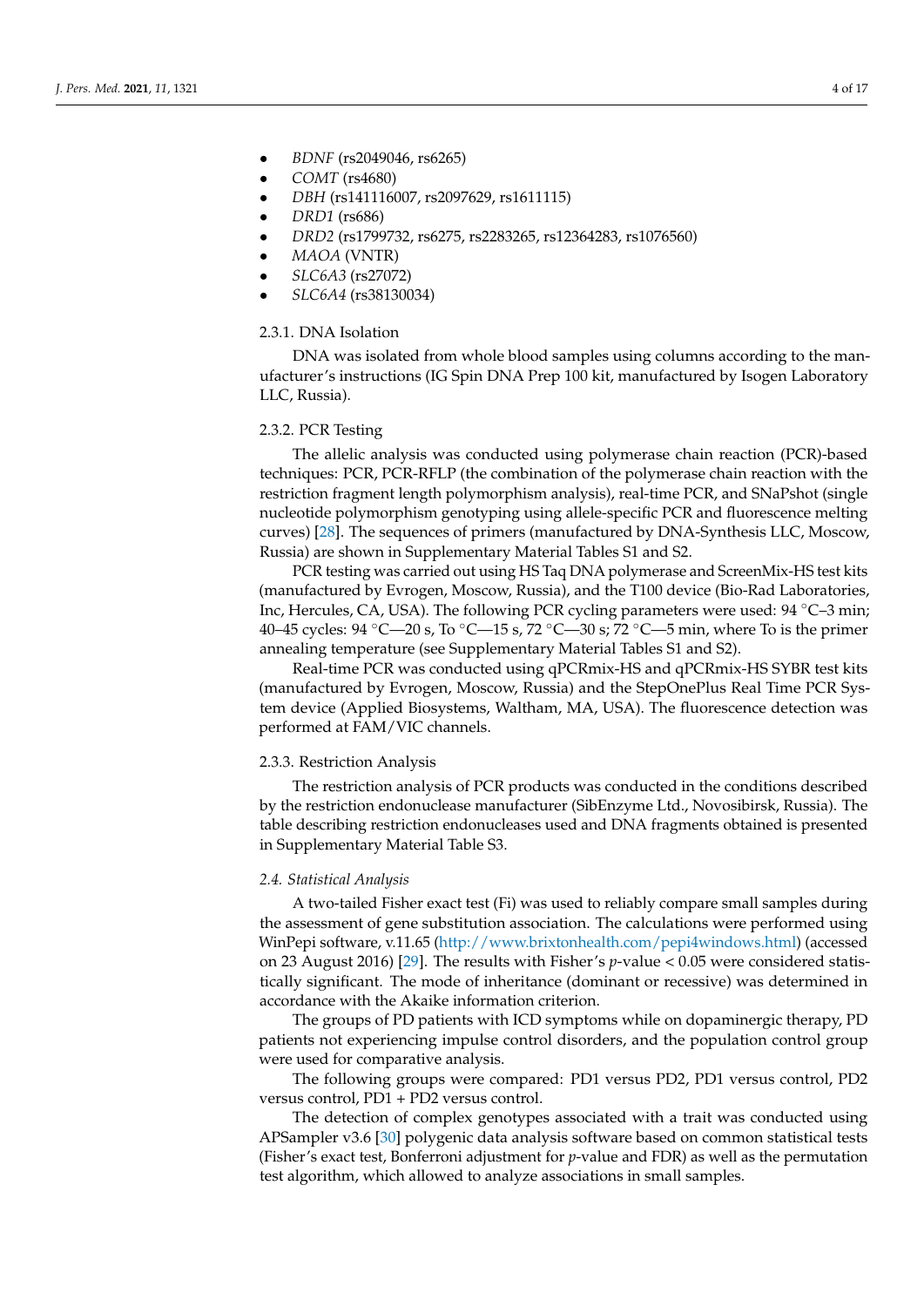- *BDNF* (rs2049046, rs6265)
- *COMT* (rs4680)
- *DBH* (rs141116007, rs2097629, rs1611115)
- *DRD1* (rs686)
- *DRD2* (rs1799732, rs6275, rs2283265, rs12364283, rs1076560)
- *MAOA* (VNTR)
- *SLC6A3* (rs27072)
- *SLC6A4* (rs38130034)

## 2.3.1. DNA Isolation

DNA was isolated from whole blood samples using columns according to the manufacturer's instructions (IG Spin DNA Prep 100 kit, manufactured by Isogen Laboratory LLC, Russia).

# 2.3.2. PCR Testing

The allelic analysis was conducted using polymerase chain reaction (PCR)-based techniques: PCR, PCR-RFLP (the combination of the polymerase chain reaction with the restriction fragment length polymorphism analysis), real-time PCR, and SNaPshot (single nucleotide polymorphism genotyping using allele-specific PCR and fluorescence melting curves) [\[28\]](#page-15-3). The sequences of primers (manufactured by DNA-Synthesis LLC, Moscow, Russia) are shown in Supplementary Material Tables S1 and S2.

PCR testing was carried out using HS Taq DNA polymerase and ScreenMix-HS test kits (manufactured by Evrogen, Moscow, Russia), and the T100 device (Bio-Rad Laboratories, Inc, Hercules, CA, USA). The following PCR cycling parameters were used: 94 ◦C–3 min; 40–45 cycles:  $94^{\circ}$ C—20 s, To  $^{\circ}$ C—15 s, 72  $^{\circ}$ C—30 s; 72  $^{\circ}$ C—5 min, where To is the primer annealing temperature (see Supplementary Material Tables S1 and S2).

Real-time PCR was conducted using qPCRmix-HS and qPCRmix-HS SYBR test kits (manufactured by Evrogen, Moscow, Russia) and the StepOnePlus Real Time PCR System device (Applied Biosystems, Waltham, MA, USA). The fluorescence detection was performed at FAM/VIC channels.

## 2.3.3. Restriction Analysis

The restriction analysis of PCR products was conducted in the conditions described by the restriction endonuclease manufacturer (SibEnzyme Ltd., Novosibirsk, Russia). The table describing restriction endonucleases used and DNA fragments obtained is presented in Supplementary Material Table S3.

## *2.4. Statistical Analysis*

A two-tailed Fisher exact test (Fi) was used to reliably compare small samples during the assessment of gene substitution association. The calculations were performed using WinPepi software, v.11.65 [\(http://www.brixtonhealth.com/pepi4windows.html\)](http://www.brixtonhealth.com/pepi4windows.html) (accessed on 23 August 2016) [\[29\]](#page-15-4). The results with Fisher's *p*-value < 0.05 were considered statistically significant. The mode of inheritance (dominant or recessive) was determined in accordance with the Akaike information criterion.

The groups of PD patients with ICD symptoms while on dopaminergic therapy, PD patients not experiencing impulse control disorders, and the population control group were used for comparative analysis.

The following groups were compared: PD1 versus PD2, PD1 versus control, PD2 versus control, PD1 + PD2 versus control.

The detection of complex genotypes associated with a trait was conducted using APSampler v3.6 [\[30\]](#page-15-5) polygenic data analysis software based on common statistical tests (Fisher's exact test, Bonferroni adjustment for *p*-value and FDR) as well as the permutation test algorithm, which allowed to analyze associations in small samples.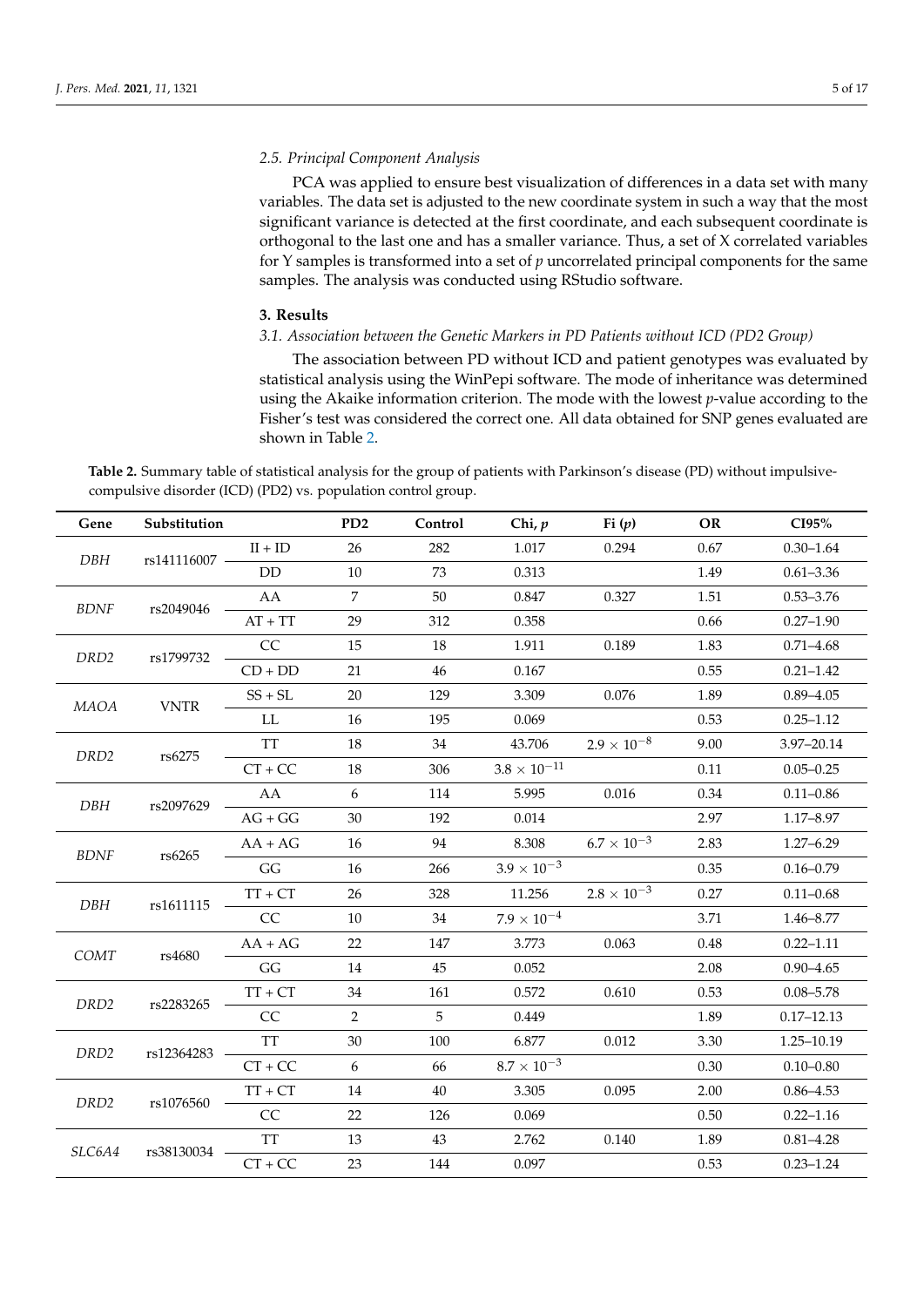## *2.5. Principal Component Analysis*

PCA was applied to ensure best visualization of differences in a data set with many variables. The data set is adjusted to the new coordinate system in such a way that the most significant variance is detected at the first coordinate, and each subsequent coordinate is orthogonal to the last one and has a smaller variance. Thus, a set of X correlated variables for Y samples is transformed into a set of *p* uncorrelated principal components for the same samples. The analysis was conducted using RStudio software.

## **3. Results**

# *3.1. Association between the Genetic Markers in PD Patients without ICD (PD2 Group)*

The association between PD without ICD and patient genotypes was evaluated by statistical analysis using the WinPepi software. The mode of inheritance was determined using the Akaike information criterion. The mode with the lowest *p*-value according to the Fisher's test was considered the correct one. All data obtained for SNP genes evaluated are shown in Table [2.](#page-5-0)

**Table 2.** Summary table of statistical analysis for the group of patients with Parkinson's disease (PD) without impulsivecompulsive disorder (ICD) (PD2) vs. population control group.

| Gene             | Substitution |           | PD <sub>2</sub> | Control | Chi, $p$              | Fi(p)                | <b>OR</b> | CI95%          |
|------------------|--------------|-----------|-----------------|---------|-----------------------|----------------------|-----------|----------------|
|                  |              | $II + ID$ | 26              | 282     | 1.017                 | 0.294                | 0.67      | $0.30 - 1.64$  |
| DBH              | rs141116007  | DD        | 10              | 73      | 0.313                 |                      | 1.49      | $0.61 - 3.36$  |
| <b>BDNF</b>      | rs2049046    | AA        | $\overline{7}$  | 50      | 0.847                 | 0.327                | 1.51      | $0.53 - 3.76$  |
|                  |              | $AT + TT$ | 29              | 312     | 0.358                 |                      | 0.66      | $0.27 - 1.90$  |
| DRD <sub>2</sub> | rs1799732    | CC        | 15              | 18      | 1.911                 | 0.189                | 1.83      | $0.71 - 4.68$  |
|                  |              | $CD + DD$ | 21              | 46      | 0.167                 |                      | 0.55      | $0.21 - 1.42$  |
| <b>MAOA</b>      | <b>VNTR</b>  | $SS + SL$ | 20              | 129     | 3.309                 | 0.076                | 1.89      | $0.89 - 4.05$  |
|                  |              | LL        | 16              | 195     | 0.069                 |                      | 0.53      | $0.25 - 1.12$  |
| DRD <sub>2</sub> | rs6275       | <b>TT</b> | 18              | 34      | 43.706                | $2.9 \times 10^{-8}$ | 9.00      | 3.97-20.14     |
|                  |              | $CT + CC$ | 18              | 306     | $3.8 \times 10^{-11}$ |                      | 0.11      | $0.05 - 0.25$  |
| DBH              | rs2097629    | AA        | 6               | 114     | 5.995                 | 0.016                | 0.34      | $0.11 - 0.86$  |
|                  |              | $AG + GG$ | 30              | 192     | 0.014                 |                      | 2.97      | 1.17-8.97      |
| <b>BDNF</b>      | rs6265       | $AA + AG$ | 16              | 94      | 8.308                 | $6.7\times10^{-3}$   | 2.83      | $1.27 - 6.29$  |
|                  |              | GG        | 16              | 266     | $3.9 \times 10^{-3}$  |                      | 0.35      | $0.16 - 0.79$  |
| DBH              |              | $TT + CT$ | 26              | 328     | 11.256                | $2.8 \times 10^{-3}$ | 0.27      | $0.11 - 0.68$  |
|                  | rs1611115    | CC        | 10              | 34      | $7.9 \times 10^{-4}$  |                      | 3.71      | 1.46-8.77      |
| COMT             |              | $AA + AG$ | 22              | 147     | 3.773                 | 0.063                | 0.48      | $0.22 - 1.11$  |
|                  | rs4680       | GG        | 14              | 45      | 0.052                 |                      | 2.08      | $0.90 - 4.65$  |
| DRD <sub>2</sub> | rs2283265    | $TT + CT$ | 34              | 161     | 0.572                 | 0.610                | 0.53      | $0.08 - 5.78$  |
|                  |              | CC        | $\overline{2}$  | 5       | 0.449                 |                      | 1.89      | $0.17 - 12.13$ |
| DRD <sub>2</sub> | rs12364283   | <b>TT</b> | 30              | 100     | 6.877                 | 0.012                | 3.30      | 1.25-10.19     |
|                  |              | $CT + CC$ | 6               | 66      | $8.7 \times 10^{-3}$  |                      | 0.30      | $0.10 - 0.80$  |
| DRD <sub>2</sub> | rs1076560    | $TT + CT$ | 14              | 40      | 3.305                 | 0.095                | 2.00      | $0.86 - 4.53$  |
|                  |              | CC        | 22              | 126     | 0.069                 |                      | 0.50      | $0.22 - 1.16$  |
|                  | rs38130034   | <b>TT</b> | 13              | 43      | 2.762                 | $0.140\,$            | 1.89      | $0.81 - 4.28$  |
| <i>SLC6A4</i>    |              | $CT + CC$ | 23              | 144     | 0.097                 |                      | 0.53      | $0.23 - 1.24$  |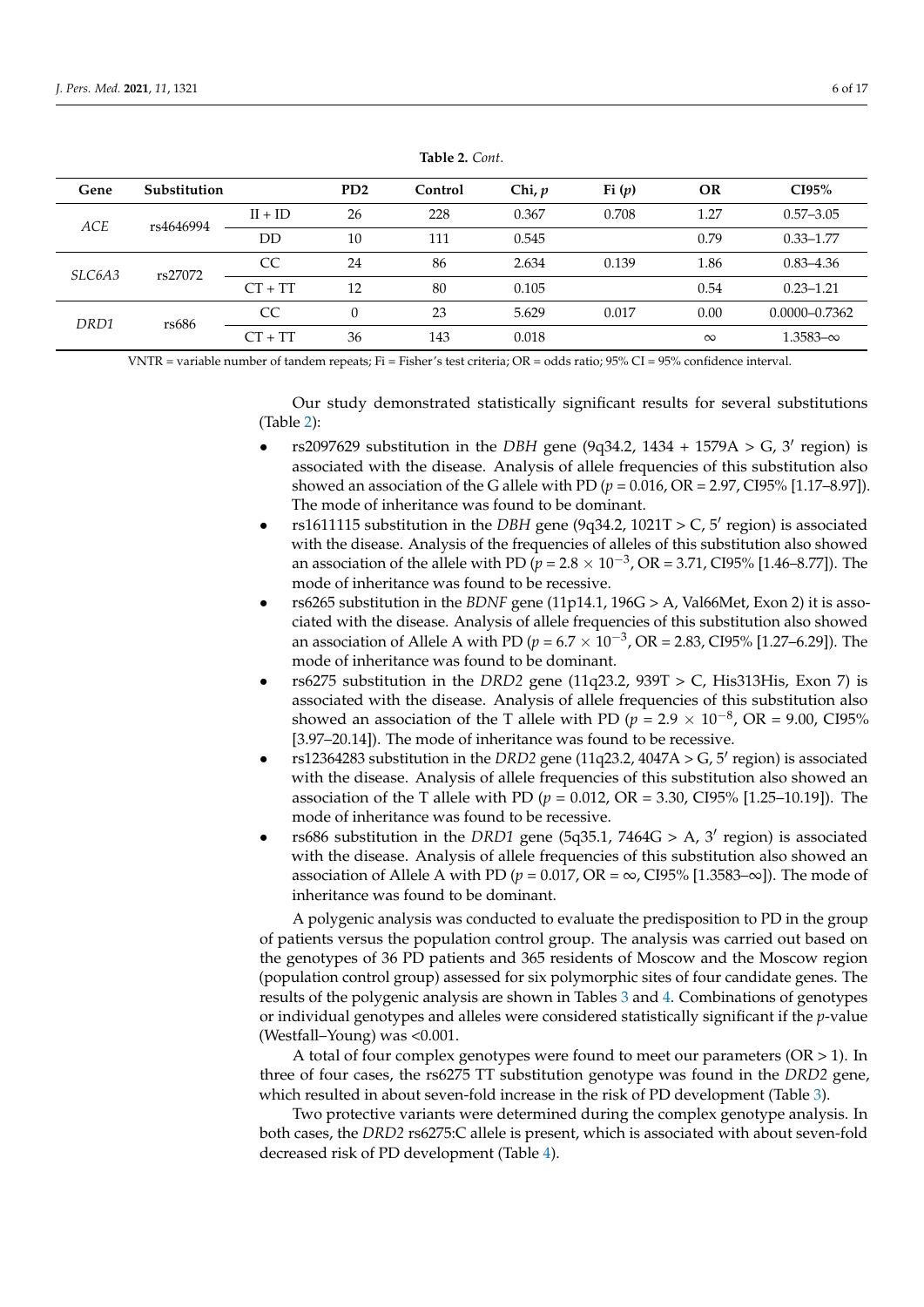<span id="page-5-0"></span>

| Gene              | <b>Substitution</b> |    | P <sub>D</sub> <sub>2</sub> | Control | Chi, $p$ | Fi(p)    | <b>OR</b>         | CI95%             |
|-------------------|---------------------|----|-----------------------------|---------|----------|----------|-------------------|-------------------|
| ACE<br>rs4646994  | $II + ID$           | 26 | 228                         | 0.367   | 0.708    | 1.27     | $0.57 - 3.05$     |                   |
|                   | DD                  | 10 | 111                         | 0.545   |          | 0.79     | $0.33 - 1.77$     |                   |
| SLC6A3<br>rs27072 | CC                  | 24 | 86                          | 2.634   | 0.139    | 1.86     | $0.83 - 4.36$     |                   |
|                   | $CT + TT$           | 12 | 80                          | 0.105   |          | 0.54     | $0.23 - 1.21$     |                   |
| DRD1<br>rs686     |                     | CC | $\Omega$                    | 23      | 5.629    | 0.017    | 0.00              | $0.0000 - 0.7362$ |
|                   | $CT + TT$           | 36 | 143                         | 0.018   |          | $\infty$ | $1.3583 - \infty$ |                   |

**Table 2.** *Cont*.

VNTR = variable number of tandem repeats; Fi = Fisher's test criteria; OR = odds ratio; 95% CI = 95% confidence interval.

Our study demonstrated statistically significant results for several substitutions (Table [2\)](#page-5-0):

- rs2097629 substitution in the *DBH* gene (9q34.2, 1434 + 1579A > G, 3' region) is associated with the disease. Analysis of allele frequencies of this substitution also showed an association of the G allele with PD (*p* = 0.016, OR = 2.97, CI95% [1.17–8.97]). The mode of inheritance was found to be dominant.
- rs1611115 substitution in the *DBH* gene (9q34.2,  $1021T > C$ , 5' region) is associated with the disease. Analysis of the frequencies of alleles of this substitution also showed an association of the allele with PD ( $p = 2.8 \times 10^{-3}$ , OR = 3.71, CI95% [1.46–8.77]). The mode of inheritance was found to be recessive.
- rs6265 substitution in the *BDNF* gene (11p14.1, 196G > A, Val66Met, Exon 2) it is associated with the disease. Analysis of allele frequencies of this substitution also showed an association of Allele A with PD ( $p = 6.7 \times 10^{-3}$ , OR = 2.83, CI95% [1.27–6.29]). The mode of inheritance was found to be dominant.
- rs6275 substitution in the *DRD2* gene (11q23.2, 939T > C, His313His, Exon 7) is associated with the disease. Analysis of allele frequencies of this substitution also showed an association of the T allele with PD ( $p = 2.9 \times 10^{-8}$ , OR = 9.00, CI95% [3.97–20.14]). The mode of inheritance was found to be recessive.
- rs12364283 substitution in the *DRD2* gene (11q23.2,  $4047A > G$ ,  $5'$  region) is associated with the disease. Analysis of allele frequencies of this substitution also showed an association of the T allele with PD ( $p = 0.012$ , OR = 3.30, CI95% [1.25–10.19]). The mode of inheritance was found to be recessive.
- rs686 substitution in the *DRD1* gene (5q35.1, 7464G > A, 3' region) is associated with the disease. Analysis of allele frequencies of this substitution also showed an association of Allele A with PD ( $p = 0.017$ , OR =  $\infty$ , CI95% [1.3583– $\infty$ ]). The mode of inheritance was found to be dominant.

A polygenic analysis was conducted to evaluate the predisposition to PD in the group of patients versus the population control group. The analysis was carried out based on the genotypes of 36 PD patients and 365 residents of Moscow and the Moscow region (population control group) assessed for six polymorphic sites of four candidate genes. The results of the polygenic analysis are shown in Tables [3](#page-6-0) and [4.](#page-6-1) Combinations of genotypes or individual genotypes and alleles were considered statistically significant if the *p*-value (Westfall–Young) was <0.001.

A total of four complex genotypes were found to meet our parameters  $(OR > 1)$ . In three of four cases, the rs6275 TT substitution genotype was found in the *DRD2* gene, which resulted in about seven-fold increase in the risk of PD development (Table [3\)](#page-6-0).

Two protective variants were determined during the complex genotype analysis. In both cases, the *DRD2* rs6275:C allele is present, which is associated with about seven-fold decreased risk of PD development (Table [4\)](#page-6-1).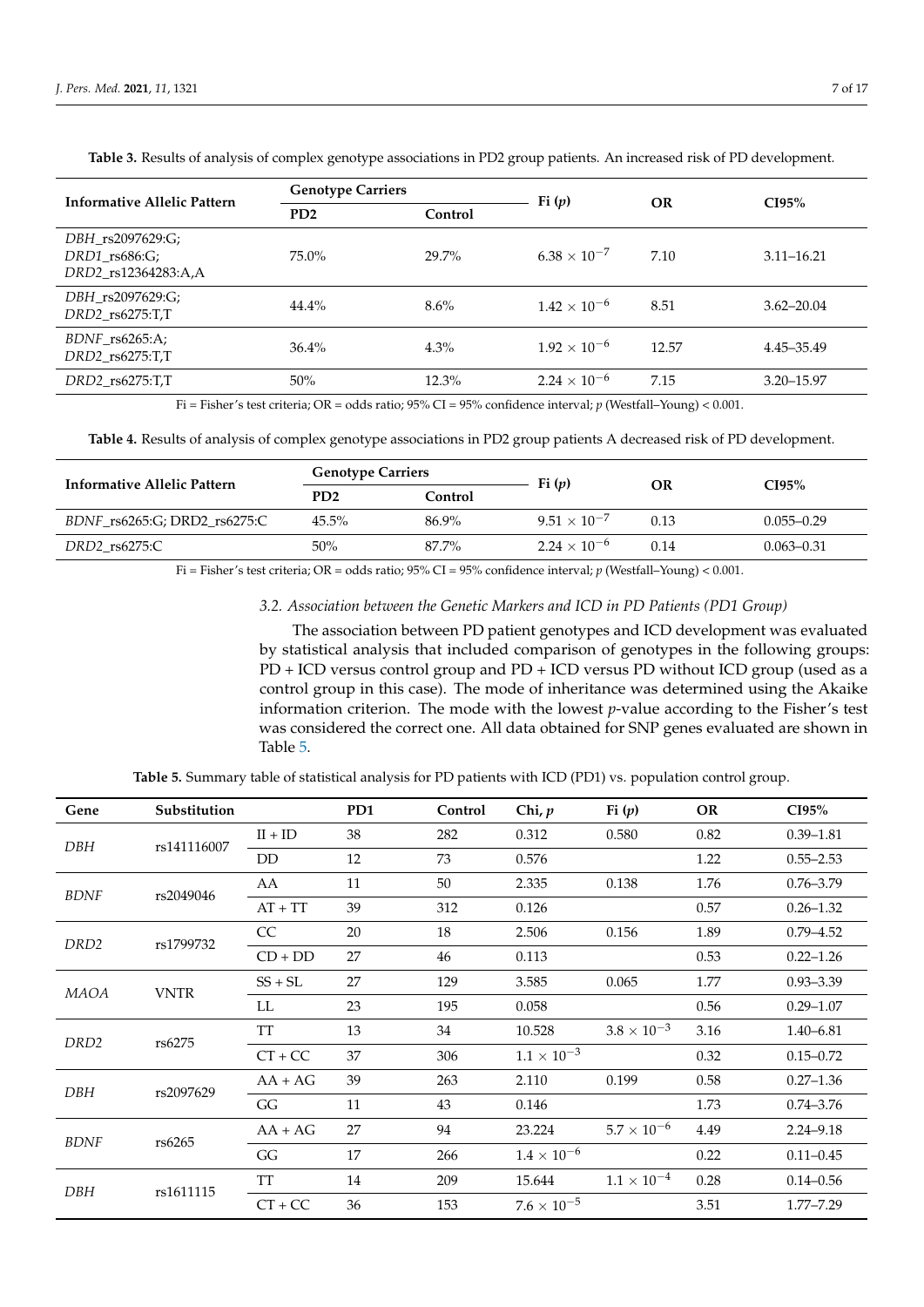| Informative Allelic Pattern                                    | <b>Genotype Carriers</b>    |          | Fi(p)                 | <b>OR</b> | CI95%          |  |
|----------------------------------------------------------------|-----------------------------|----------|-----------------------|-----------|----------------|--|
|                                                                | P <sub>D</sub> <sub>2</sub> | Control  |                       |           |                |  |
| DBH rs2097629:G;<br>$DRD1$ rs $686:G$ ;<br>DRD2 rs12364283:A,A | 75.0%                       | 29.7%    | $6.38 \times 10^{-7}$ | 7.10      | $3.11 - 16.21$ |  |
| DBH_rs2097629:G;<br>$DRD2$ rs $6275:TT$ , T                    | 44.4%                       | 8.6%     | $1.42 \times 10^{-6}$ | 8.51      | $3.62 - 20.04$ |  |
| $BDNF$ rs6265:A;<br>$DRD2$ rs $6275:TT$ , T                    | $36.4\%$                    | 4.3%     | $1.92 \times 10^{-6}$ | 12.57     | 4.45-35.49     |  |
| $DRD2$ rs $6275:TT$ , T                                        | 50%                         | $12.3\%$ | $2.24 \times 10^{-6}$ | 7.15      | $3.20 - 15.97$ |  |

<span id="page-6-0"></span>**Table 3.** Results of analysis of complex genotype associations in PD2 group patients. An increased risk of PD development.

Fi = Fisher's test criteria; OR = odds ratio; 95% CI = 95% confidence interval; *p* (Westfall–Young) < 0.001.

<span id="page-6-1"></span>**Table 4.** Results of analysis of complex genotype associations in PD2 group patients A decreased risk of PD development.

| Informative Allelic Pattern  | <b>Genotype Carriers</b>    |         |                       |      |                |
|------------------------------|-----------------------------|---------|-----------------------|------|----------------|
|                              | P <sub>D</sub> <sub>2</sub> | Control | Fi(p)                 | OR   | CI95%          |
| BDNF_rs6265:G; DRD2_rs6275:C | $45.5\%$                    | 86.9%   | $9.51 \times 10^{-7}$ | 0.13 | $0.055 - 0.29$ |
| DRD2 rs6275:C                | 50%                         | 87.7%   | $2.24 \times 10^{-6}$ | 0.14 | $0.063 - 0.31$ |

Fi = Fisher's test criteria; OR = odds ratio; 95% CI = 95% confidence interval; *p* (Westfall–Young) < 0.001.

# *3.2. Association between the Genetic Markers and ICD in PD Patients (PD1 Group)*

The association between PD patient genotypes and ICD development was evaluated by statistical analysis that included comparison of genotypes in the following groups: PD + ICD versus control group and PD + ICD versus PD without ICD group (used as a control group in this case). The mode of inheritance was determined using the Akaike information criterion. The mode with the lowest *p*-value according to the Fisher's test was considered the correct one. All data obtained for SNP genes evaluated are shown in Table [5.](#page-7-0)

**Table 5.** Summary table of statistical analysis for PD patients with ICD (PD1) vs. population control group.

| Gene             | Substitution |                | PD1 | Control | Chi, $p$             | Fi(p)                | OR   | CI95%         |
|------------------|--------------|----------------|-----|---------|----------------------|----------------------|------|---------------|
| DBH              | rs141116007  | $II + ID$      | 38  | 282     | 0.312                | 0.580                | 0.82 | $0.39 - 1.81$ |
|                  |              | D <sub>D</sub> | 12  | 73      | 0.576                |                      | 1.22 | $0.55 - 2.53$ |
| <b>BDNF</b>      | rs2049046    | AA             | 11  | 50      | 2.335                | 0.138                | 1.76 | $0.76 - 3.79$ |
|                  |              | $AT + TT$      | 39  | 312     | 0.126                |                      | 0.57 | $0.26 - 1.32$ |
| DRD <sub>2</sub> | rs1799732    | <sub>CC</sub>  | 20  | 18      | 2.506                | 0.156                | 1.89 | $0.79 - 4.52$ |
|                  |              | $CD + DD$      | 27  | 46      | 0.113                |                      | 0.53 | $0.22 - 1.26$ |
| MAOA             |              | $SS + SL$      | 27  | 129     | 3.585                | 0.065                | 1.77 | $0.93 - 3.39$ |
| <b>VNTR</b>      |              | LL             | 23  | 195     | 0.058                |                      | 0.56 | $0.29 - 1.07$ |
| DRD <sub>2</sub> | rs6275       | <b>TT</b>      | 13  | 34      | 10.528               | $3.8 \times 10^{-3}$ | 3.16 | $1.40 - 6.81$ |
|                  |              | $CT + CC$      | 37  | 306     | $1.1 \times 10^{-3}$ |                      | 0.32 | $0.15 - 0.72$ |
| DBH              | rs2097629    | $AA + AG$      | 39  | 263     | 2.110                | 0.199                | 0.58 | $0.27 - 1.36$ |
|                  |              | GG             | 11  | 43      | 0.146                |                      | 1.73 | $0.74 - 3.76$ |
| <b>BDNF</b>      |              | $AA + AG$      | 27  | 94      | 23.224               | $5.7 \times 10^{-6}$ | 4.49 | $2.24 - 9.18$ |
|                  | rs6265       | GG             | 17  | 266     | $1.4 \times 10^{-6}$ |                      | 0.22 | $0.11 - 0.45$ |
| DBH              | rs1611115    | <b>TT</b>      | 14  | 209     | 15.644               | $1.1 \times 10^{-4}$ | 0.28 | $0.14 - 0.56$ |
|                  |              | $CT + CC$      | 36  | 153     | $7.6 \times 10^{-5}$ |                      | 3.51 | $1.77 - 7.29$ |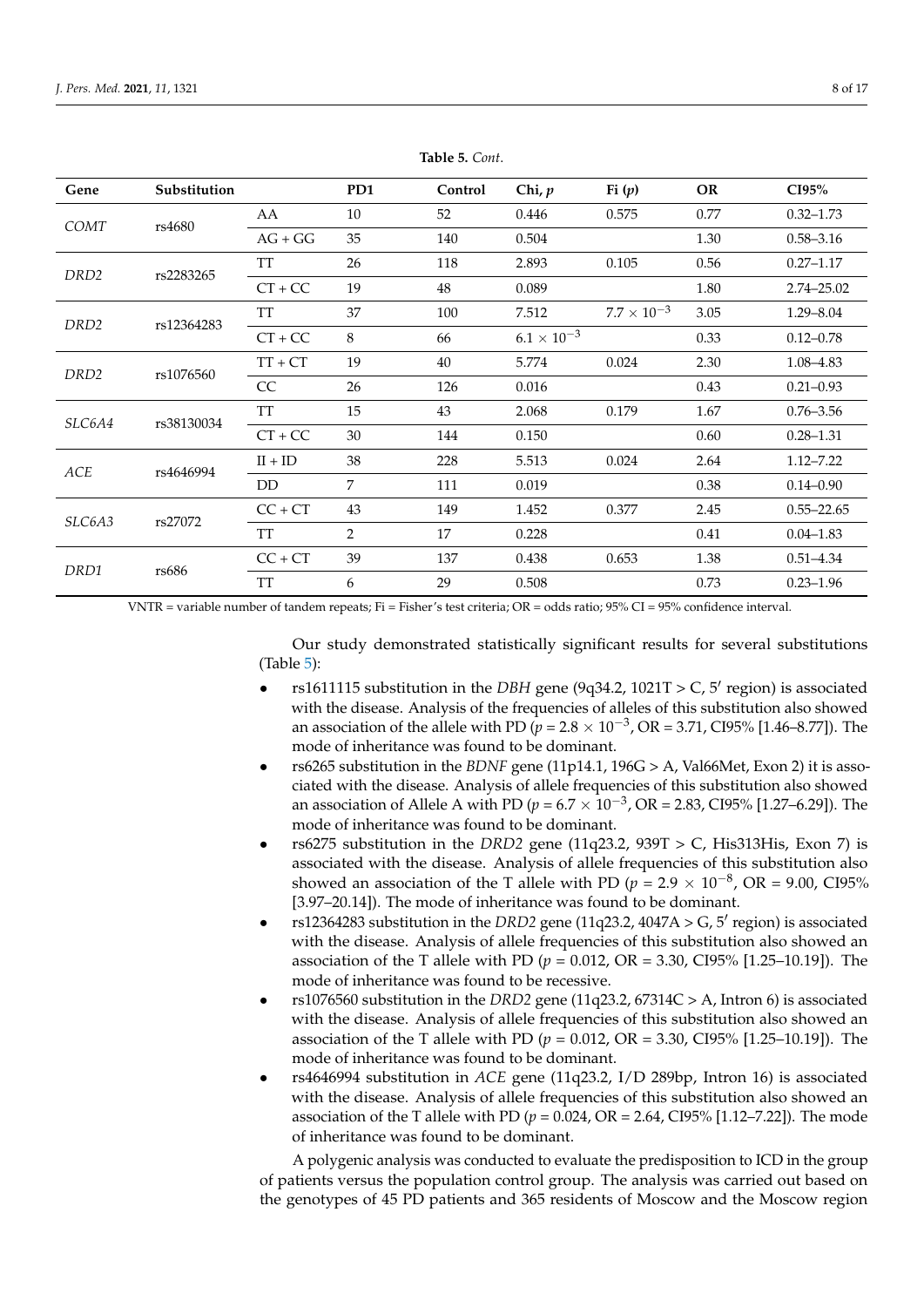<span id="page-7-0"></span>

| Gene             | Substitution |           | PD1            | Control | Chi, $p$             | Fi $(p)$             | <b>OR</b> | CI95%          |
|------------------|--------------|-----------|----------------|---------|----------------------|----------------------|-----------|----------------|
| COMT             | rs4680       | AA        | 10             | 52      | 0.446                | 0.575                | 0.77      | $0.32 - 1.73$  |
|                  |              | $AG + GG$ | 35             | 140     | 0.504                |                      | 1.30      | $0.58 - 3.16$  |
| DRD <sub>2</sub> | rs2283265    | TT        | 26             | 118     | 2.893                | 0.105                | 0.56      | $0.27 - 1.17$  |
|                  |              | $CT + CC$ | 19             | $48\,$  | 0.089                |                      | 1.80      | 2.74-25.02     |
| DRD <sub>2</sub> | rs12364283   | TT        | 37             | 100     | 7.512                | $7.7 \times 10^{-3}$ | 3.05      | $1.29 - 8.04$  |
|                  |              | $CT + CC$ | 8              | 66      | $6.1 \times 10^{-3}$ |                      | 0.33      | $0.12 - 0.78$  |
| DRD <sub>2</sub> | rs1076560    | $TT + CT$ | 19             | 40      | 5.774                | 0.024                | 2.30      | 1.08–4.83      |
|                  |              | CC        | 26             | 126     | 0.016                |                      | 0.43      | $0.21 - 0.93$  |
| SLC6A4           | rs38130034   | TT        | 15             | 43      | 2.068                | 0.179                | 1.67      | $0.76 - 3.56$  |
|                  |              | $CT + CC$ | 30             | 144     | 0.150                |                      | 0.60      | $0.28 - 1.31$  |
| ACE              | rs4646994    | $II + ID$ | 38             | 228     | 5.513                | 0.024                | 2.64      | $1.12 - 7.22$  |
|                  |              | DD.       | 7              | 111     | 0.019                |                      | 0.38      | $0.14 - 0.90$  |
|                  | rs27072      | $CC + CT$ | 43             | 149     | 1.452                | 0.377                | 2.45      | $0.55 - 22.65$ |
| SLC6A3           |              | TT        | $\overline{2}$ | 17      | 0.228                |                      | 0.41      | $0.04 - 1.83$  |
|                  |              | $CC + CT$ | 39             | 137     | 0.438                | 0.653                | 1.38      | $0.51 - 4.34$  |
| DRD1<br>rs686    |              | <b>TT</b> | 6              | 29      | 0.508                |                      | 0.73      | $0.23 - 1.96$  |

**Table 5.** *Cont*.

VNTR = variable number of tandem repeats; Fi = Fisher's test criteria; OR = odds ratio; 95% CI = 95% confidence interval.

Our study demonstrated statistically significant results for several substitutions (Table [5\)](#page-7-0):

- rs1611115 substitution in the *DBH* gene (9q34.2,  $1021T > C$ ,  $5'$  region) is associated with the disease. Analysis of the frequencies of alleles of this substitution also showed an association of the allele with PD  $(p = 2.8 \times 10^{-3}, \text{OR} = 3.71, \text{CI}95\%$  [1.46–8.77]). The mode of inheritance was found to be dominant.
- rs6265 substitution in the *BDNF* gene (11p14.1, 196G > A, Val66Met, Exon 2) it is associated with the disease. Analysis of allele frequencies of this substitution also showed an association of Allele A with PD ( $p = 6.7 \times 10^{-3}$ , OR = 2.83, CI95% [1.27–6.29]). The mode of inheritance was found to be dominant.
- rs6275 substitution in the *DRD2* gene (11q23.2, 939T > C, His313His, Exon 7) is associated with the disease. Analysis of allele frequencies of this substitution also showed an association of the T allele with PD ( $p = 2.9 \times 10^{-8}$ , OR = 9.00, CI95% [3.97–20.14]). The mode of inheritance was found to be dominant.
- $rs12364283$  substitution in the *DRD2* gene (11q23.2, 4047A > G, 5' region) is associated with the disease. Analysis of allele frequencies of this substitution also showed an association of the T allele with PD (*p* = 0.012, OR = 3.30, CI95% [1.25–10.19]). The mode of inheritance was found to be recessive.
- rs1076560 substitution in the *DRD2* gene (11q23.2, 67314C > A, Intron 6) is associated with the disease. Analysis of allele frequencies of this substitution also showed an association of the T allele with PD (*p* = 0.012, OR = 3.30, CI95% [1.25–10.19]). The mode of inheritance was found to be dominant.
- rs4646994 substitution in *ACE* gene (11q23.2, I/D 289bp, Intron 16) is associated with the disease. Analysis of allele frequencies of this substitution also showed an association of the T allele with PD (*p* = 0.024, OR = 2.64, CI95% [1.12–7.22]). The mode of inheritance was found to be dominant.

A polygenic analysis was conducted to evaluate the predisposition to ICD in the group of patients versus the population control group. The analysis was carried out based on the genotypes of 45 PD patients and 365 residents of Moscow and the Moscow region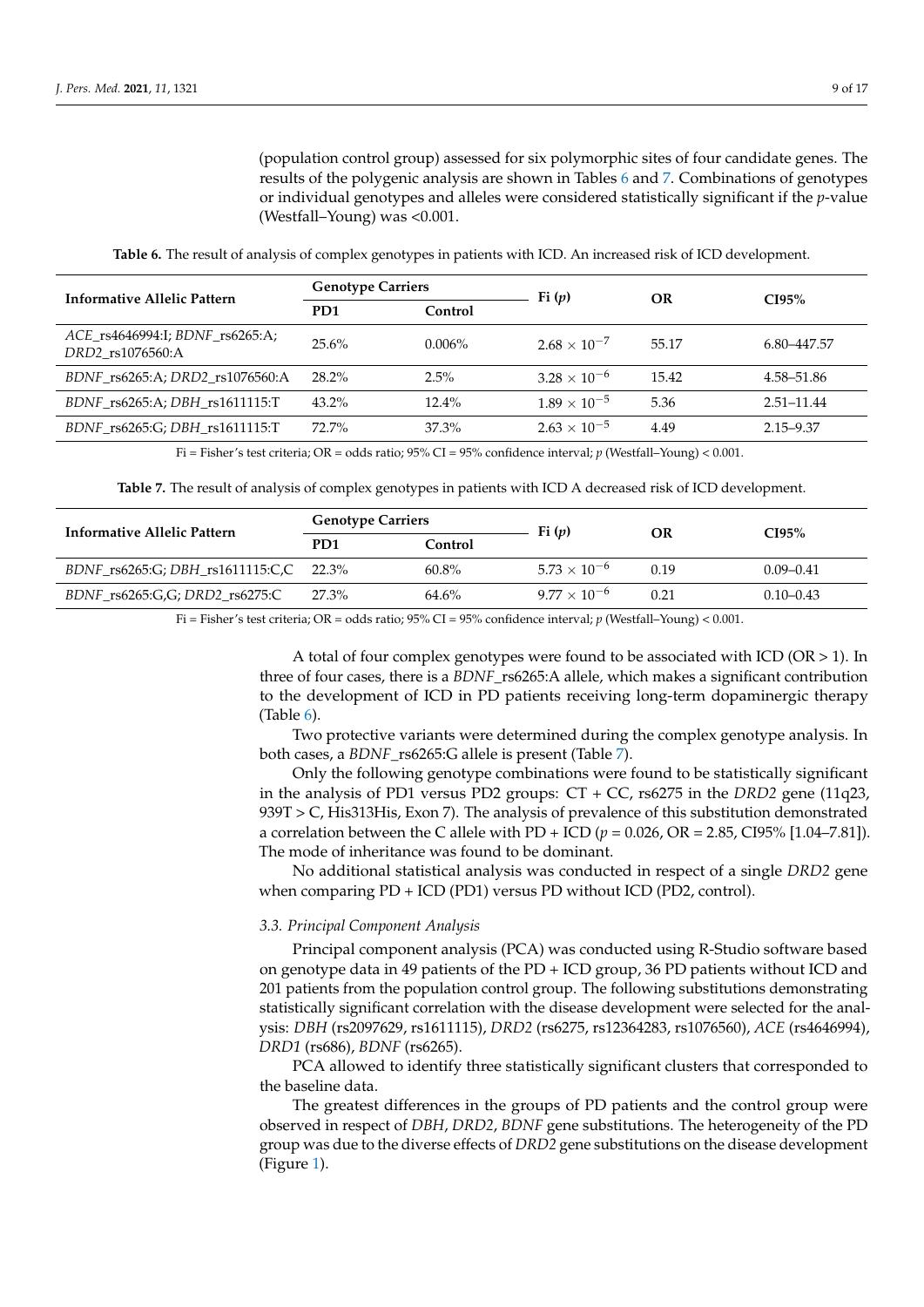(population control group) assessed for six polymorphic sites of four candidate genes. The results of the polygenic analysis are shown in Tables [6](#page-8-0) and [7.](#page-8-1) Combinations of genotypes or individual genotypes and alleles were considered statistically significant if the *p*-value (Westfall–Young) was <0.001.

<span id="page-8-0"></span>**Informative Allelic Pattern Genotype Carriers Fi (***p***) OR CI95% PD1 Control** *ACE*\_rs4646994:I; *BDNF*\_rs6265:A; *DRD2*\_rs1076560:A 25.6% 0.006% 2.68 <sup>×</sup> <sup>10</sup>−<sup>7</sup> 55.17 6.80–447.57 *BDNF*\_rs6265:A; *DRD2*\_rs1076560:A 28.2% 2.5% 3.28 × 10−<sup>6</sup> 15.42 4.58–51.86 *BDNF*\_rs6265:A; *DBH*\_rs1611115:T 43.2% 12.4% 1.89 × 10<sup>-5</sup> 5.36 2.51-11.44 *BDNF*\_rs6265:G; *DBH*\_rs1611115:T 72.7% 37.3% 2.63 × 10−<sup>5</sup> 4.49 2.15–9.37

**Table 6.** The result of analysis of complex genotypes in patients with ICD. An increased risk of ICD development.

Fi = Fisher's test criteria; OR = odds ratio; 95% CI = 95% confidence interval; *p* (Westfall–Young) < 0.001.

**Table 7.** The result of analysis of complex genotypes in patients with ICD A decreased risk of ICD development.

<span id="page-8-1"></span>

| Informative Allelic Pattern                 | <b>Genotype Carriers</b> |          | Fi $(p)$              |      | CI95%         |
|---------------------------------------------|--------------------------|----------|-----------------------|------|---------------|
|                                             | P <sub>D</sub> 1         | Control  |                       | OR   |               |
| BDNF $rs6265:G$ ; DBH $rs1611115:C,C$ 22.3% |                          | $60.8\%$ | $5.73 \times 10^{-6}$ | 0.19 | $0.09 - 0.41$ |
| $BDNF$ rs6265:G,G; DRD2 rs6275:C            | 27.3%                    | 64.6%    | $9.77 \times 10^{-6}$ | 0.21 | $0.10 - 0.43$ |

Fi = Fisher's test criteria; OR = odds ratio; 95% CI = 95% confidence interval; *p* (Westfall–Young) < 0.001.

A total of four complex genotypes were found to be associated with ICD ( $OR > 1$ ). In three of four cases, there is a *BDNF*\_rs6265:A allele, which makes a significant contribution to the development of ICD in PD patients receiving long-term dopaminergic therapy (Table [6\)](#page-8-0).

Two protective variants were determined during the complex genotype analysis. In both cases, a *BDNF*\_rs6265:G allele is present (Table [7\)](#page-8-1).

Only the following genotype combinations were found to be statistically significant in the analysis of PD1 versus PD2 groups: CT + CC, rs6275 in the *DRD2* gene (11q23, 939T > C, His313His, Exon 7). The analysis of prevalence of this substitution demonstrated a correlation between the C allele with PD + ICD ( $p = 0.026$ , OR = 2.85, CI95% [1.04–7.81]). The mode of inheritance was found to be dominant.

No additional statistical analysis was conducted in respect of a single *DRD2* gene when comparing PD + ICD (PD1) versus PD without ICD (PD2, control).

#### *3.3. Principal Component Analysis*

Principal component analysis (PCA) was conducted using R-Studio software based on genotype data in 49 patients of the PD + ICD group, 36 PD patients without ICD and 201 patients from the population control group. The following substitutions demonstrating statistically significant correlation with the disease development were selected for the analysis: *DBH* (rs2097629, rs1611115), *DRD2* (rs6275, rs12364283, rs1076560), *ACE* (rs4646994), *DRD1* (rs686), *BDNF* (rs6265).

PCA allowed to identify three statistically significant clusters that corresponded to the baseline data.

The greatest differences in the groups of PD patients and the control group were observed in respect of *DBH*, *DRD2*, *BDNF* gene substitutions. The heterogeneity of the PD group was due to the diverse effects of *DRD2* gene substitutions on the disease development (Figure [1\)](#page-9-0).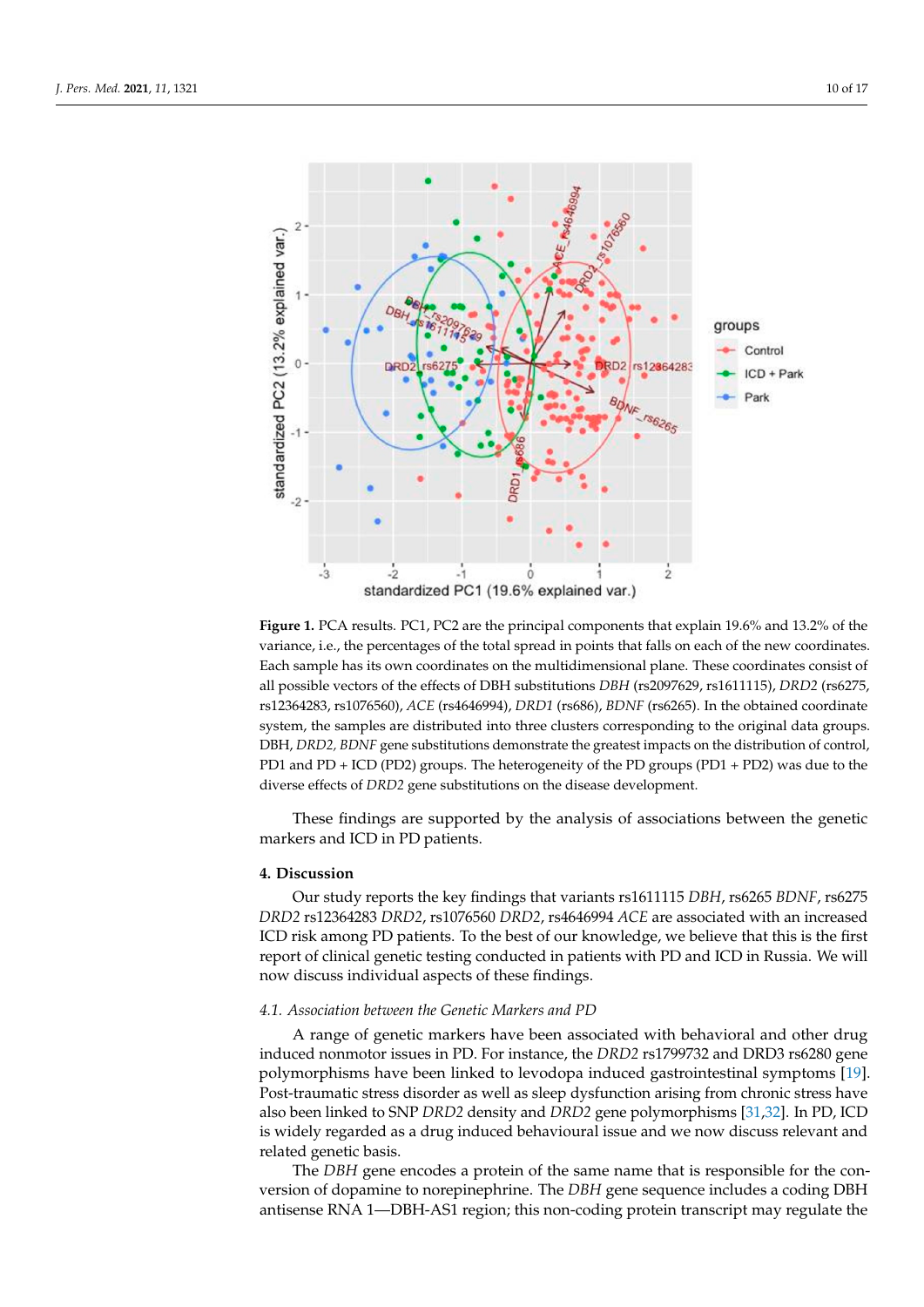<span id="page-9-0"></span>

Figure 1. PCA results. PC1, PC2 are the principal components that explain 19.6% and 13.2% of the variance, i.e., the percentages of the total spread in points that falls on each of the new coordinates. Each sample has its own coordinates on the multidimensional plane. These coordinates consist of all possible vectors of the effects of DBH substitutions *DBH* (rs2097629, rs1611115), *DRD2* (rs6275,  $t_{\rm{1226420}}$   $t_{\rm{127650}}$   $t_{\rm{1267}}$  ( $t_{\rm{1264}}$   $t_{\rm{1264}}$ )  $t_{\rm{1264}}$  ( $t_{\rm{1264}}$ )  $t_{\rm{1264}}$  ( $t_{\rm{1264}}$ )  $t_{\rm{1264}}$  ( $t_{\rm{1264}}$ )  $t_{\rm{1264}}$  ( $t_{\rm{1264}}$ )  $t_{\rm{1264}}$  ( $t_{\rm{1264}}$ )  $t_{\rm{126$  $rs12364283$ ,  $rs1076560$ ),  $ACE$  ( $rs4646994$ ),  $DRD1$  ( $rs686$ ),  $BDNF$  ( $rs6265$ ). In the obtained coordinate system, the samples are distributed into three clusters corresponding to the original data groups. DBH, *DRD2, BDNF* gene substitutions demonstrate the greatest impacts on the distribution of control, diverse effects of *DRD2* gene substitutions on the disease development. PD1 and PD + ICD (PD2) groups. The heterogeneity of the PD groups (PD1 + PD2) was due to the

These findings are supported by the analysis of associations between the genetic **4. Discussion**  markers and ICD in PD patients.

## **4. Discussion**

*Dur study reports the key findings that variants rs1611115 <i>DBH*, rs6265 *BDNF*, rs6275 *DRD2* rs12364283 *DRD2*, rs1076560 *DRD2*, rs4646994 *ACE* are associated with an increased ICD risk among PD patients. To the best of our knowledge, we believe that this is the first report of clinical genetic testing conducted in patients with PD and ICD in Russia. We will *4.1. Association between the Genetic Markers and PD*  now discuss individual aspects of these findings.

# 4.1. Association between the Genetic Markers and PD

A range of genetic markers have been associated with behavioral and other drug induced nonmotor issues in PD. For instance, the *DRD2* rs1799732 and DRD3 rs6280 gene polymorphisms have been linked to levodopa induced gastrointestinal symptoms [19]. Post-traumatic stress disorder as well as sleep dysfunction arising from chronic stress have also been linked to SNP *DRD2* density and *DRD2* gene polymorphisms [31,32]. In PD, ICD is widely regarded as a drug induced behavioural issue and we now discuss relevant and  $\overline{\phantom{a}}$  as as is . The same that is responsible for the same that is responsible for the conversion of the conversion of the conversion of the conversion of the conversion of the conversion of the conversion of the con related genetic basis.

The *DBH* gene encodes a protein of the same name that is responsible for the conversion of dopamine to norepinephrine. The *DBH* gene sequence includes a coding DBH antisense RNA 1—DBH-AS1 region; this non-coding protein transcript may regulate the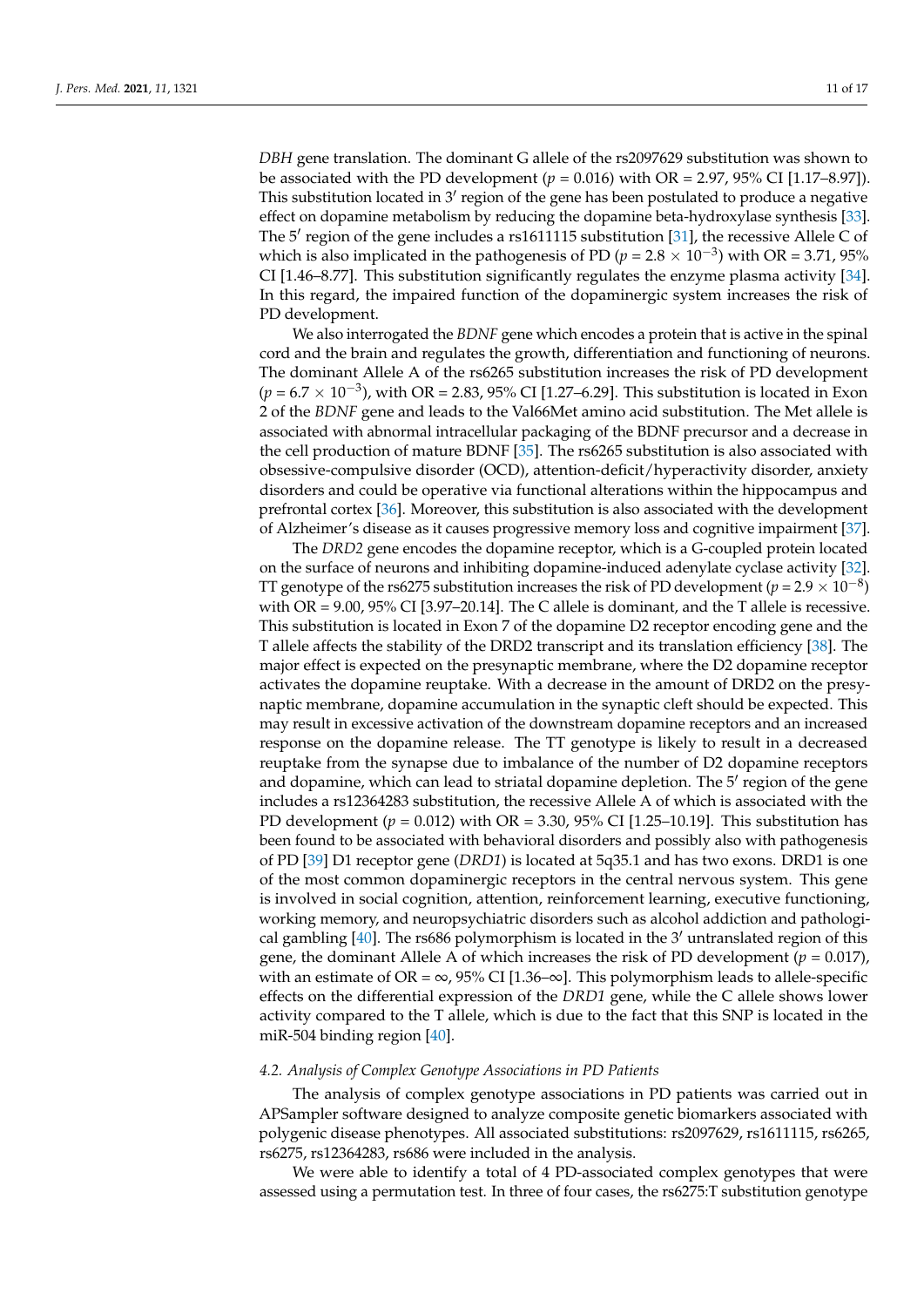*DBH* gene translation. The dominant G allele of the rs2097629 substitution was shown to be associated with the PD development  $(p = 0.016)$  with OR = 2.97, 95% CI [1.17–8.97]). This substitution located in 3' region of the gene has been postulated to produce a negative effect on dopamine metabolism by reducing the dopamine beta-hydroxylase synthesis [\[33\]](#page-15-8). The 5' region of the gene includes a rs1611115 substitution [\[31\]](#page-15-6), the recessive Allele C of which is also implicated in the pathogenesis of PD ( $p = 2.8 \times 10^{-3}$ ) with OR = 3.71, 95% CI [1.46–8.77]. This substitution significantly regulates the enzyme plasma activity [\[34\]](#page-15-9). In this regard, the impaired function of the dopaminergic system increases the risk of PD development.

We also interrogated the *BDNF* gene which encodes a protein that is active in the spinal cord and the brain and regulates the growth, differentiation and functioning of neurons. The dominant Allele A of the rs6265 substitution increases the risk of PD development  $(p = 6.7 \times 10^{-3})$ , with OR = 2.83, 95% CI [1.27–6.29]. This substitution is located in Exon 2 of the *BDNF* gene and leads to the Val66Met amino acid substitution. The Met allele is associated with abnormal intracellular packaging of the BDNF precursor and a decrease in the cell production of mature BDNF [\[35\]](#page-15-10). The rs6265 substitution is also associated with obsessive-compulsive disorder (OCD), attention-deficit/hyperactivity disorder, anxiety disorders and could be operative via functional alterations within the hippocampus and prefrontal cortex [\[36\]](#page-15-11). Moreover, this substitution is also associated with the development of Alzheimer's disease as it causes progressive memory loss and cognitive impairment [\[37\]](#page-15-12).

The *DRD2* gene encodes the dopamine receptor, which is a G-coupled protein located on the surface of neurons and inhibiting dopamine-induced adenylate cyclase activity [\[32\]](#page-15-7). TT genotype of the rs6275 substitution increases the risk of PD development ( $p = 2.9 \times 10^{-8}$ ) with  $OR = 9.00$ ,  $95\%$  CI [3.97–20.14]. The C allele is dominant, and the T allele is recessive. This substitution is located in Exon 7 of the dopamine D2 receptor encoding gene and the T allele affects the stability of the DRD2 transcript and its translation efficiency [\[38\]](#page-15-13). The major effect is expected on the presynaptic membrane, where the D2 dopamine receptor activates the dopamine reuptake. With a decrease in the amount of DRD2 on the presynaptic membrane, dopamine accumulation in the synaptic cleft should be expected. This may result in excessive activation of the downstream dopamine receptors and an increased response on the dopamine release. The TT genotype is likely to result in a decreased reuptake from the synapse due to imbalance of the number of D2 dopamine receptors and dopamine, which can lead to striatal dopamine depletion. The 5' region of the gene includes a rs12364283 substitution, the recessive Allele A of which is associated with the PD development (*p* = 0.012) with OR = 3.30, 95% CI [1.25–10.19]. This substitution has been found to be associated with behavioral disorders and possibly also with pathogenesis of PD [\[39\]](#page-15-14) D1 receptor gene (*DRD1*) is located at 5q35.1 and has two exons. DRD1 is one of the most common dopaminergic receptors in the central nervous system. This gene is involved in social cognition, attention, reinforcement learning, executive functioning, working memory, and neuropsychiatric disorders such as alcohol addiction and pathological gambling  $[40]$ . The rs686 polymorphism is located in the 3' untranslated region of this gene, the dominant Allele A of which increases the risk of PD development ( $p = 0.017$ ), with an estimate of OR =  $\infty$ , 95% CI [1.36– $\infty$ ]. This polymorphism leads to allele-specific effects on the differential expression of the *DRD1* gene, while the C allele shows lower activity compared to the T allele, which is due to the fact that this SNP is located in the miR-504 binding region [\[40\]](#page-15-15).

#### *4.2. Analysis of Complex Genotype Associations in PD Patients*

The analysis of complex genotype associations in PD patients was carried out in APSampler software designed to analyze composite genetic biomarkers associated with polygenic disease phenotypes. All associated substitutions: rs2097629, rs1611115, rs6265, rs6275, rs12364283, rs686 were included in the analysis.

We were able to identify a total of 4 PD-associated complex genotypes that were assessed using a permutation test. In three of four cases, the rs6275:T substitution genotype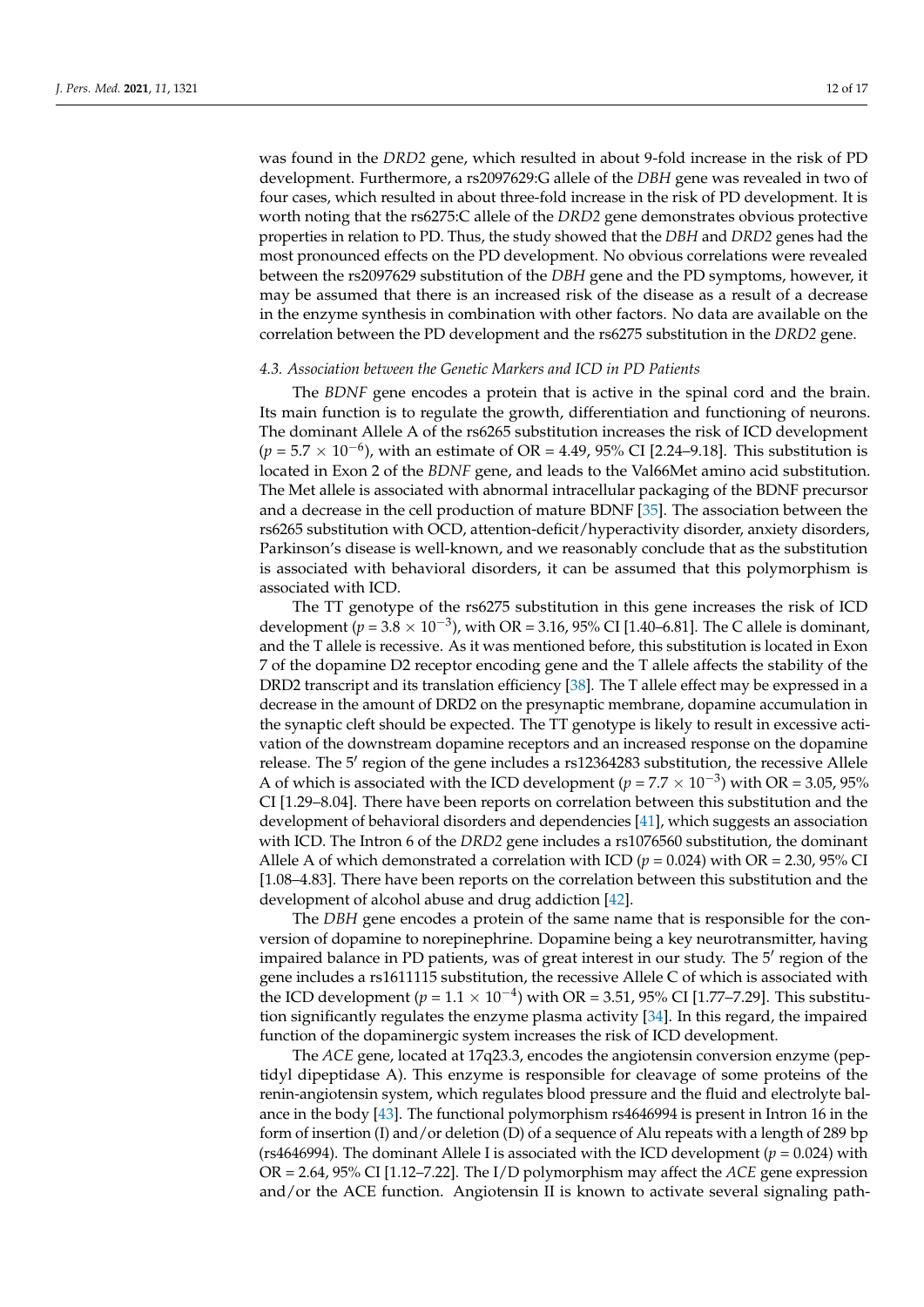was found in the *DRD2* gene, which resulted in about 9-fold increase in the risk of PD development. Furthermore, a rs2097629:G allele of the *DBH* gene was revealed in two of four cases, which resulted in about three-fold increase in the risk of PD development. It is worth noting that the rs6275:C allele of the *DRD2* gene demonstrates obvious protective properties in relation to PD. Thus, the study showed that the *DBH* and *DRD2* genes had the most pronounced effects on the PD development. No obvious correlations were revealed between the rs2097629 substitution of the *DBH* gene and the PD symptoms, however, it may be assumed that there is an increased risk of the disease as a result of a decrease in the enzyme synthesis in combination with other factors. No data are available on the correlation between the PD development and the rs6275 substitution in the *DRD2* gene.

#### *4.3. Association between the Genetic Markers and ICD in PD Patients*

The *BDNF* gene encodes a protein that is active in the spinal cord and the brain. Its main function is to regulate the growth, differentiation and functioning of neurons. The dominant Allele A of the rs6265 substitution increases the risk of ICD development  $(p = 5.7 \times 10^{-6})$ , with an estimate of OR = 4.49, 95% CI [2.24–9.18]. This substitution is located in Exon 2 of the *BDNF* gene, and leads to the Val66Met amino acid substitution. The Met allele is associated with abnormal intracellular packaging of the BDNF precursor and a decrease in the cell production of mature BDNF [\[35\]](#page-15-10). The association between the rs6265 substitution with OCD, attention-deficit/hyperactivity disorder, anxiety disorders, Parkinson's disease is well-known, and we reasonably conclude that as the substitution is associated with behavioral disorders, it can be assumed that this polymorphism is associated with ICD.

The TT genotype of the rs6275 substitution in this gene increases the risk of ICD development ( $p = 3.8 \times 10^{-3}$ ), with OR = 3.16, 95% CI [1.40–6.81]. The C allele is dominant, and the T allele is recessive. As it was mentioned before, this substitution is located in Exon 7 of the dopamine D2 receptor encoding gene and the T allele affects the stability of the DRD2 transcript and its translation efficiency [\[38\]](#page-15-13). The T allele effect may be expressed in a decrease in the amount of DRD2 on the presynaptic membrane, dopamine accumulation in the synaptic cleft should be expected. The TT genotype is likely to result in excessive activation of the downstream dopamine receptors and an increased response on the dopamine release. The 5' region of the gene includes a rs12364283 substitution, the recessive Allele A of which is associated with the ICD development ( $p = 7.7 \times 10^{-3}$ ) with OR = 3.05, 95% CI [1.29–8.04]. There have been reports on correlation between this substitution and the development of behavioral disorders and dependencies [\[41\]](#page-15-16), which suggests an association with ICD. The Intron 6 of the *DRD2* gene includes a rs1076560 substitution, the dominant Allele A of which demonstrated a correlation with ICD  $(p = 0.024)$  with OR = 2.30, 95% CI [1.08–4.83]. There have been reports on the correlation between this substitution and the development of alcohol abuse and drug addiction [\[42\]](#page-15-17).

The *DBH* gene encodes a protein of the same name that is responsible for the conversion of dopamine to norepinephrine. Dopamine being a key neurotransmitter, having impaired balance in PD patients, was of great interest in our study. The 5' region of the gene includes a rs1611115 substitution, the recessive Allele C of which is associated with the ICD development ( $p = 1.1 \times 10^{-4}$ ) with OR = 3.51, 95% CI [1.77–7.29]. This substitution significantly regulates the enzyme plasma activity [\[34\]](#page-15-9). In this regard, the impaired function of the dopaminergic system increases the risk of ICD development.

The *ACE* gene, located at 17q23.3, encodes the angiotensin conversion enzyme (peptidyl dipeptidase A). This enzyme is responsible for cleavage of some proteins of the renin-angiotensin system, which regulates blood pressure and the fluid and electrolyte balance in the body [\[43\]](#page-15-18). The functional polymorphism rs4646994 is present in Intron 16 in the form of insertion (I) and/or deletion (D) of a sequence of Alu repeats with a length of 289 bp (rs4646994). The dominant Allele I is associated with the ICD development ( $p = 0.024$ ) with OR = 2.64, 95% CI [1.12–7.22]. The I/D polymorphism may affect the *ACE* gene expression and/or the ACE function. Angiotensin II is known to activate several signaling path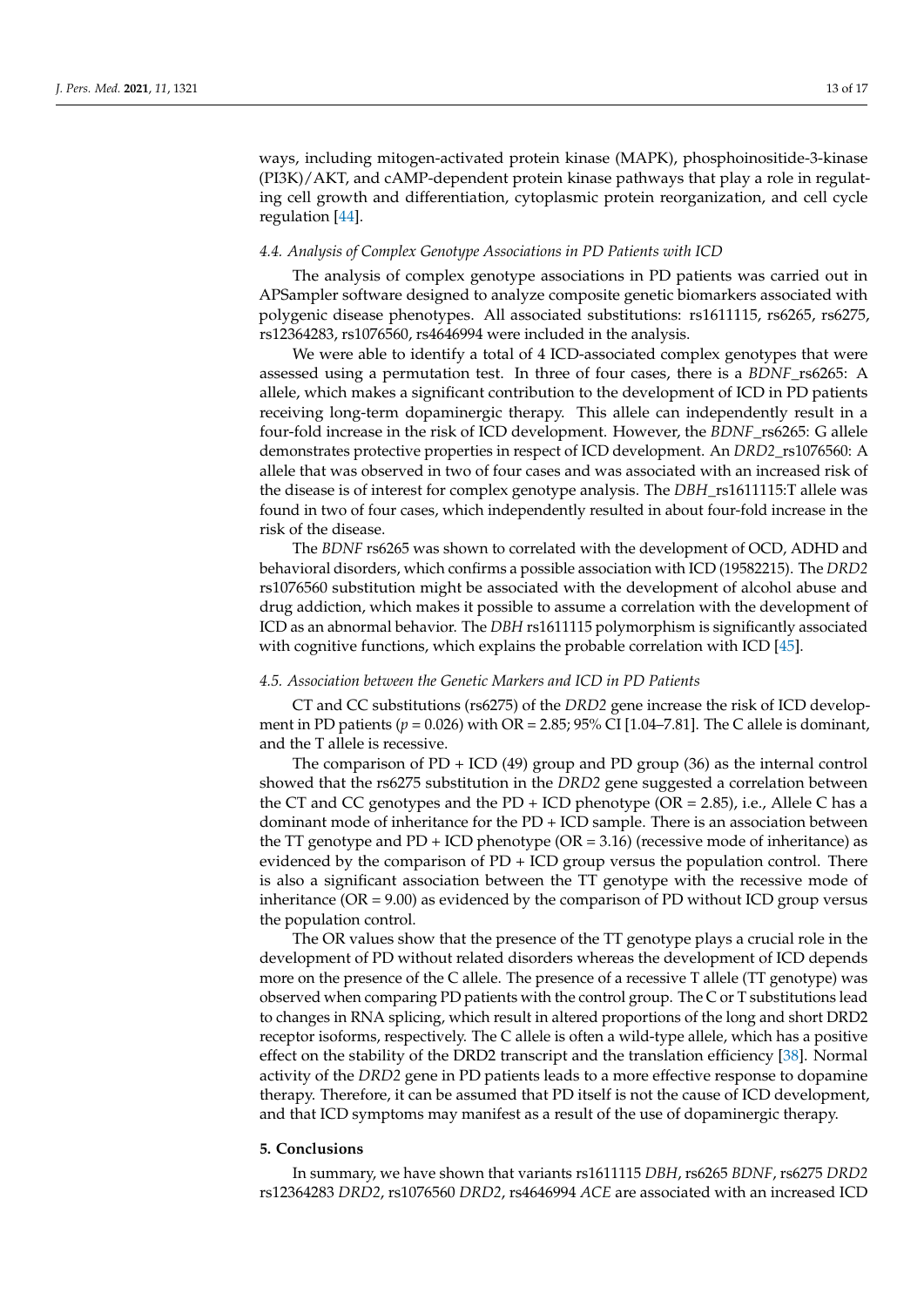ways, including mitogen-activated protein kinase (MAPK), phosphoinositide-3-kinase (PI3K)/AKT, and cAMP-dependent protein kinase pathways that play a role in regulating cell growth and differentiation, cytoplasmic protein reorganization, and cell cycle regulation [\[44\]](#page-15-19).

## *4.4. Analysis of Complex Genotype Associations in PD Patients with ICD*

The analysis of complex genotype associations in PD patients was carried out in APSampler software designed to analyze composite genetic biomarkers associated with polygenic disease phenotypes. All associated substitutions: rs1611115, rs6265, rs6275, rs12364283, rs1076560, rs4646994 were included in the analysis.

We were able to identify a total of 4 ICD-associated complex genotypes that were assessed using a permutation test. In three of four cases, there is a *BDNF*\_rs6265: A allele, which makes a significant contribution to the development of ICD in PD patients receiving long-term dopaminergic therapy. This allele can independently result in a four-fold increase in the risk of ICD development. However, the *BDNF*\_rs6265: G allele demonstrates protective properties in respect of ICD development. An *DRD2*\_rs1076560: A allele that was observed in two of four cases and was associated with an increased risk of the disease is of interest for complex genotype analysis. The *DBH*\_rs1611115:T allele was found in two of four cases, which independently resulted in about four-fold increase in the risk of the disease.

The *BDNF* rs6265 was shown to correlated with the development of OCD, ADHD and behavioral disorders, which confirms a possible association with ICD (19582215). The *DRD2* rs1076560 substitution might be associated with the development of alcohol abuse and drug addiction, which makes it possible to assume a correlation with the development of ICD as an abnormal behavior. The *DBH* rs1611115 polymorphism is significantly associated with cognitive functions, which explains the probable correlation with ICD [\[45\]](#page-15-20).

#### *4.5. Association between the Genetic Markers and ICD in PD Patients*

CT and CC substitutions (rs6275) of the *DRD2* gene increase the risk of ICD development in PD patients ( $p = 0.026$ ) with OR = 2.85; 95% CI [1.04–7.81]. The C allele is dominant, and the T allele is recessive.

The comparison of PD + ICD (49) group and PD group (36) as the internal control showed that the rs6275 substitution in the *DRD2* gene suggested a correlation between the CT and CC genotypes and the PD + ICD phenotype ( $OR = 2.85$ ), i.e., Allele C has a dominant mode of inheritance for the PD + ICD sample. There is an association between the TT genotype and  $PD + ICD$  phenotype ( $OR = 3.16$ ) (recessive mode of inheritance) as evidenced by the comparison of  $PD + ICD$  group versus the population control. There is also a significant association between the TT genotype with the recessive mode of inheritance ( $OR = 9.00$ ) as evidenced by the comparison of PD without ICD group versus the population control.

The OR values show that the presence of the TT genotype plays a crucial role in the development of PD without related disorders whereas the development of ICD depends more on the presence of the C allele. The presence of a recessive T allele (TT genotype) was observed when comparing PD patients with the control group. The C or T substitutions lead to changes in RNA splicing, which result in altered proportions of the long and short DRD2 receptor isoforms, respectively. The C allele is often a wild-type allele, which has a positive effect on the stability of the DRD2 transcript and the translation efficiency [\[38\]](#page-15-13). Normal activity of the *DRD2* gene in PD patients leads to a more effective response to dopamine therapy. Therefore, it can be assumed that PD itself is not the cause of ICD development, and that ICD symptoms may manifest as a result of the use of dopaminergic therapy.

## **5. Conclusions**

In summary, we have shown that variants rs1611115 *DBH*, rs6265 *BDNF*, rs6275 *DRD2* rs12364283 *DRD2*, rs1076560 *DRD2*, rs4646994 *ACE* are associated with an increased ICD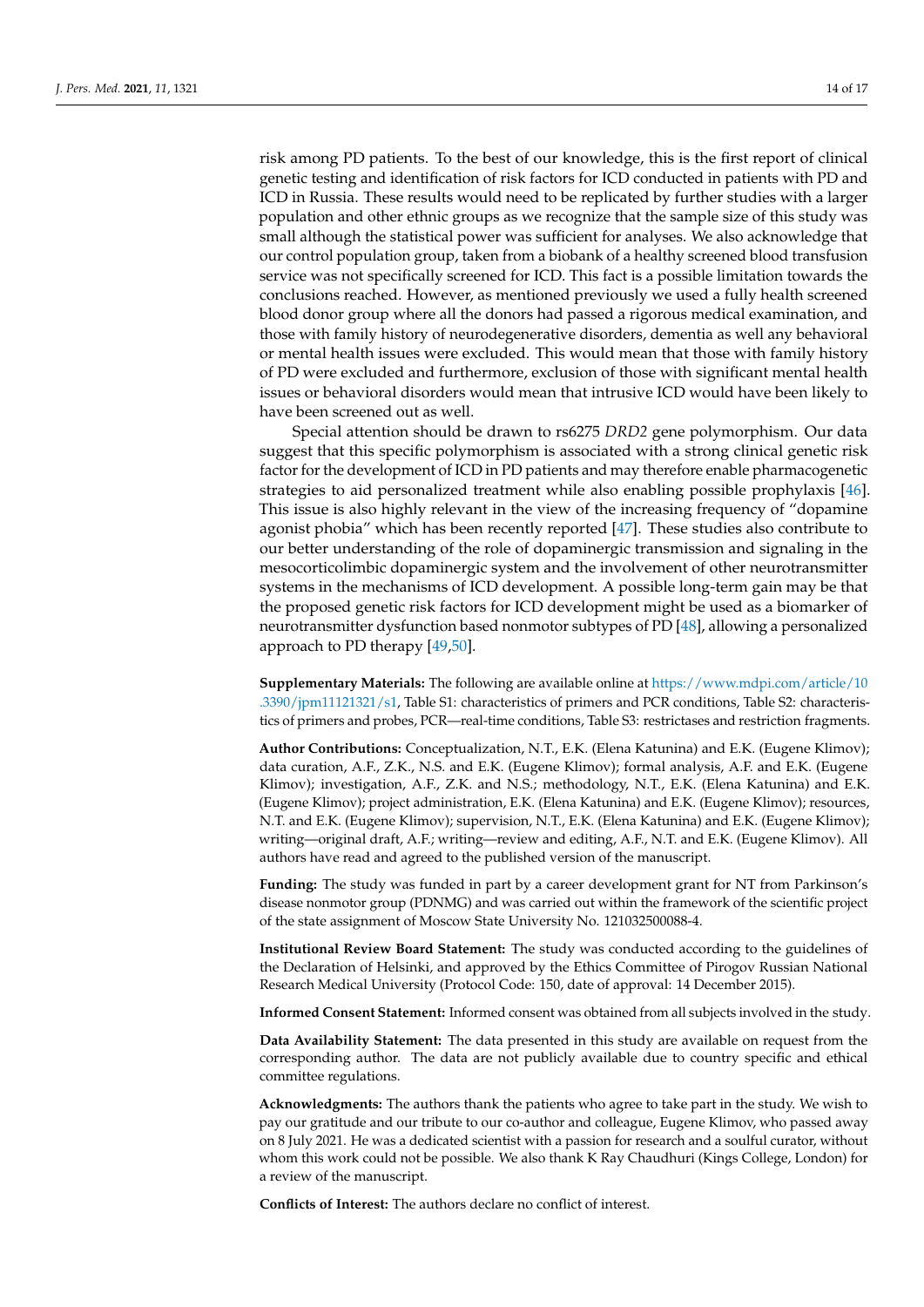risk among PD patients. To the best of our knowledge, this is the first report of clinical genetic testing and identification of risk factors for ICD conducted in patients with PD and ICD in Russia. These results would need to be replicated by further studies with a larger population and other ethnic groups as we recognize that the sample size of this study was small although the statistical power was sufficient for analyses. We also acknowledge that our control population group, taken from a biobank of a healthy screened blood transfusion service was not specifically screened for ICD. This fact is a possible limitation towards the conclusions reached. However, as mentioned previously we used a fully health screened blood donor group where all the donors had passed a rigorous medical examination, and those with family history of neurodegenerative disorders, dementia as well any behavioral or mental health issues were excluded. This would mean that those with family history of PD were excluded and furthermore, exclusion of those with significant mental health issues or behavioral disorders would mean that intrusive ICD would have been likely to have been screened out as well.

Special attention should be drawn to rs6275 *DRD2* gene polymorphism. Our data suggest that this specific polymorphism is associated with a strong clinical genetic risk factor for the development of ICD in PD patients and may therefore enable pharmacogenetic strategies to aid personalized treatment while also enabling possible prophylaxis [\[46\]](#page-15-21). This issue is also highly relevant in the view of the increasing frequency of "dopamine agonist phobia" which has been recently reported [\[47\]](#page-15-22). These studies also contribute to our better understanding of the role of dopaminergic transmission and signaling in the mesocorticolimbic dopaminergic system and the involvement of other neurotransmitter systems in the mechanisms of ICD development. A possible long-term gain may be that the proposed genetic risk factors for ICD development might be used as a biomarker of neurotransmitter dysfunction based nonmotor subtypes of PD [\[48\]](#page-15-23), allowing a personalized approach to PD therapy [\[49,](#page-16-0)[50\]](#page-16-1).

**Supplementary Materials:** The following are available online at [https://www.mdpi.com/article/10](https://www.mdpi.com/article/10.3390/jpm11121321/s1) [.3390/jpm11121321/s1,](https://www.mdpi.com/article/10.3390/jpm11121321/s1) Table S1: characteristics of primers and PCR conditions, Table S2: characteristics of primers and probes, PCR—real-time conditions, Table S3: restrictases and restriction fragments.

**Author Contributions:** Conceptualization, N.T., E.K. (Elena Katunina) and E.K. (Eugene Klimov); data curation, A.F., Z.K., N.S. and E.K. (Eugene Klimov); formal analysis, A.F. and E.K. (Eugene Klimov); investigation, A.F., Z.K. and N.S.; methodology, N.T., E.K. (Elena Katunina) and E.K. (Eugene Klimov); project administration, E.K. (Elena Katunina) and E.K. (Eugene Klimov); resources, N.T. and E.K. (Eugene Klimov); supervision, N.T., E.K. (Elena Katunina) and E.K. (Eugene Klimov); writing—original draft, A.F.; writing—review and editing, A.F., N.T. and E.K. (Eugene Klimov). All authors have read and agreed to the published version of the manuscript.

**Funding:** The study was funded in part by a career development grant for NT from Parkinson's disease nonmotor group (PDNMG) and was carried out within the framework of the scientific project of the state assignment of Moscow State University No. 121032500088-4.

**Institutional Review Board Statement:** The study was conducted according to the guidelines of the Declaration of Helsinki, and approved by the Ethics Committee of Pirogov Russian National Research Medical University (Protocol Code: 150, date of approval: 14 December 2015).

**Informed Consent Statement:** Informed consent was obtained from all subjects involved in the study.

**Data Availability Statement:** The data presented in this study are available on request from the corresponding author. The data are not publicly available due to country specific and ethical committee regulations.

**Acknowledgments:** The authors thank the patients who agree to take part in the study. We wish to pay our gratitude and our tribute to our co-author and colleague, Eugene Klimov, who passed away on 8 July 2021. He was a dedicated scientist with a passion for research and a soulful curator, without whom this work could not be possible. We also thank K Ray Chaudhuri (Kings College, London) for a review of the manuscript.

**Conflicts of Interest:** The authors declare no conflict of interest.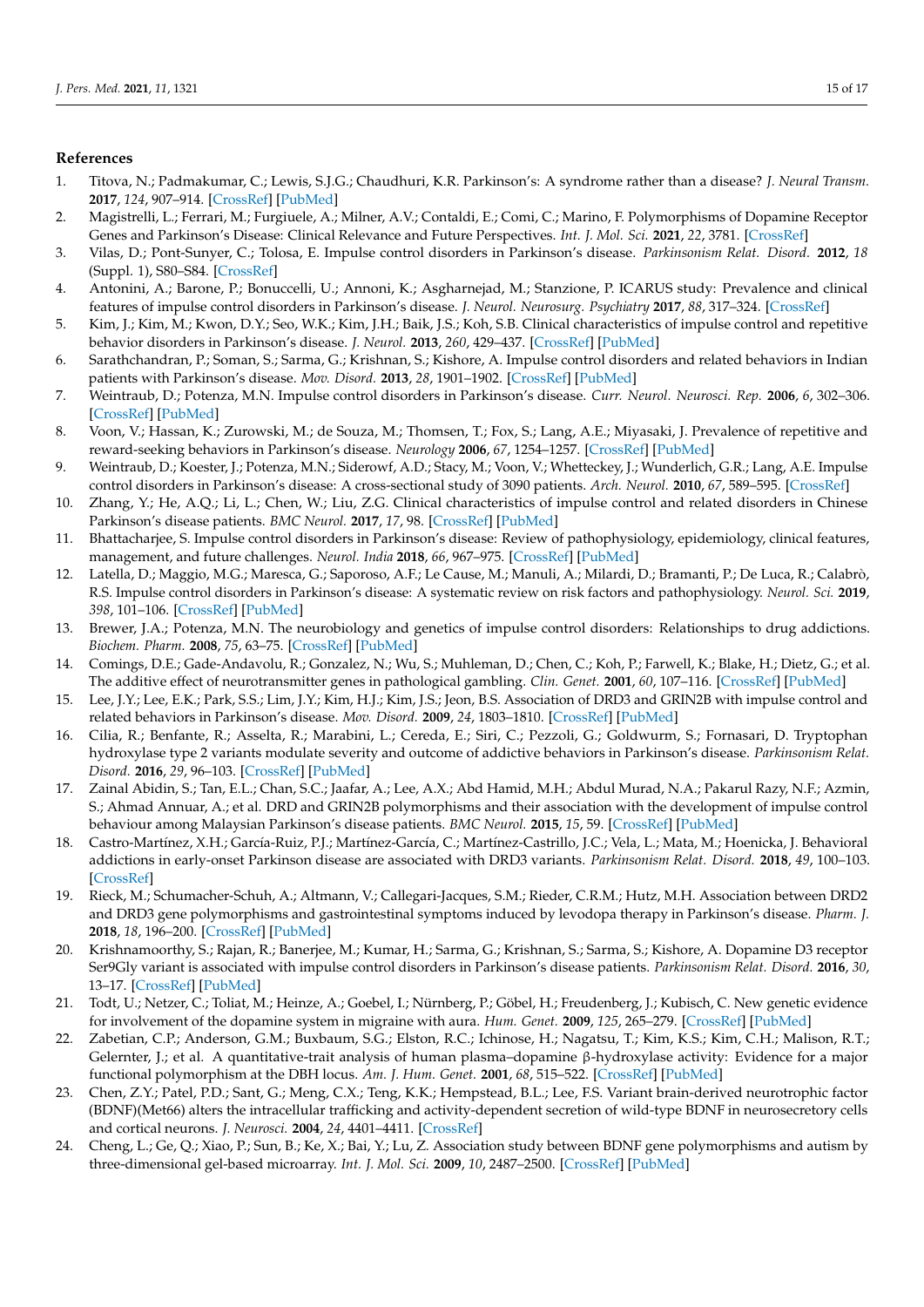# **References**

- <span id="page-14-0"></span>1. Titova, N.; Padmakumar, C.; Lewis, S.J.G.; Chaudhuri, K.R. Parkinson's: A syndrome rather than a disease? *J. Neural Transm.* **2017**, *124*, 907–914. [\[CrossRef\]](http://doi.org/10.1007/s00702-016-1667-6) [\[PubMed\]](http://www.ncbi.nlm.nih.gov/pubmed/28028643)
- <span id="page-14-1"></span>2. Magistrelli, L.; Ferrari, M.; Furgiuele, A.; Milner, A.V.; Contaldi, E.; Comi, C.; Marino, F. Polymorphisms of Dopamine Receptor Genes and Parkinson's Disease: Clinical Relevance and Future Perspectives. *Int. J. Mol. Sci.* **2021**, *22*, 3781. [\[CrossRef\]](http://doi.org/10.3390/ijms22073781)
- <span id="page-14-3"></span>3. Vilas, D.; Pont-Sunyer, C.; Tolosa, E. Impulse control disorders in Parkinson's disease. *Parkinsonism Relat. Disord.* **2012**, *18* (Suppl. 1), S80–S84. [\[CrossRef\]](http://doi.org/10.1016/S1353-8020(11)70026-8)
- 4. Antonini, A.; Barone, P.; Bonuccelli, U.; Annoni, K.; Asgharnejad, M.; Stanzione, P. ICARUS study: Prevalence and clinical features of impulse control disorders in Parkinson's disease. *J. Neurol. Neurosurg. Psychiatry* **2017**, *88*, 317–324. [\[CrossRef\]](http://doi.org/10.1136/jnnp-2016-315277)
- <span id="page-14-2"></span>5. Kim, J.; Kim, M.; Kwon, D.Y.; Seo, W.K.; Kim, J.H.; Baik, J.S.; Koh, S.B. Clinical characteristics of impulse control and repetitive behavior disorders in Parkinson's disease. *J. Neurol.* **2013**, *260*, 429–437. [\[CrossRef\]](http://doi.org/10.1007/s00415-012-6645-9) [\[PubMed\]](http://www.ncbi.nlm.nih.gov/pubmed/22893307)
- <span id="page-14-4"></span>6. Sarathchandran, P.; Soman, S.; Sarma, G.; Krishnan, S.; Kishore, A. Impulse control disorders and related behaviors in Indian patients with Parkinson's disease. *Mov. Disord.* **2013**, *28*, 1901–1902. [\[CrossRef\]](http://doi.org/10.1002/mds.25557) [\[PubMed\]](http://www.ncbi.nlm.nih.gov/pubmed/23801595)
- <span id="page-14-5"></span>7. Weintraub, D.; Potenza, M.N. Impulse control disorders in Parkinson's disease. *Curr. Neurol. Neurosci. Rep.* **2006**, *6*, 302–306. [\[CrossRef\]](http://doi.org/10.1007/s11910-006-0022-y) [\[PubMed\]](http://www.ncbi.nlm.nih.gov/pubmed/16822350)
- <span id="page-14-6"></span>8. Voon, V.; Hassan, K.; Zurowski, M.; de Souza, M.; Thomsen, T.; Fox, S.; Lang, A.E.; Miyasaki, J. Prevalence of repetitive and reward-seeking behaviors in Parkinson's disease. *Neurology* **2006**, *67*, 1254–1257. [\[CrossRef\]](http://doi.org/10.1212/01.wnl.0000238503.20816.13) [\[PubMed\]](http://www.ncbi.nlm.nih.gov/pubmed/16957130)
- 9. Weintraub, D.; Koester, J.; Potenza, M.N.; Siderowf, A.D.; Stacy, M.; Voon, V.; Whetteckey, J.; Wunderlich, G.R.; Lang, A.E. Impulse control disorders in Parkinson's disease: A cross-sectional study of 3090 patients. *Arch. Neurol.* **2010**, *67*, 589–595. [\[CrossRef\]](http://doi.org/10.1001/archneurol.2010.65)
- 10. Zhang, Y.; He, A.Q.; Li, L.; Chen, W.; Liu, Z.G. Clinical characteristics of impulse control and related disorders in Chinese Parkinson's disease patients. *BMC Neurol.* **2017**, *17*, 98. [\[CrossRef\]](http://doi.org/10.1186/s12883-017-0874-6) [\[PubMed\]](http://www.ncbi.nlm.nih.gov/pubmed/28521736)
- 11. Bhattacharjee, S. Impulse control disorders in Parkinson's disease: Review of pathophysiology, epidemiology, clinical features, management, and future challenges. *Neurol. India* **2018**, *66*, 967–975. [\[CrossRef\]](http://doi.org/10.4103/0028-3886.237019) [\[PubMed\]](http://www.ncbi.nlm.nih.gov/pubmed/30038082)
- <span id="page-14-7"></span>12. Latella, D.; Maggio, M.G.; Maresca, G.; Saporoso, A.F.; Le Cause, M.; Manuli, A.; Milardi, D.; Bramanti, P.; De Luca, R.; Calabrò, R.S. Impulse control disorders in Parkinson's disease: A systematic review on risk factors and pathophysiology. *Neurol. Sci.* **2019**, *398*, 101–106. [\[CrossRef\]](http://doi.org/10.1016/j.jns.2019.01.034) [\[PubMed\]](http://www.ncbi.nlm.nih.gov/pubmed/30690412)
- <span id="page-14-8"></span>13. Brewer, J.A.; Potenza, M.N. The neurobiology and genetics of impulse control disorders: Relationships to drug addictions. *Biochem. Pharm.* **2008**, *75*, 63–75. [\[CrossRef\]](http://doi.org/10.1016/j.bcp.2007.06.043) [\[PubMed\]](http://www.ncbi.nlm.nih.gov/pubmed/17719013)
- 14. Comings, D.E.; Gade-Andavolu, R.; Gonzalez, N.; Wu, S.; Muhleman, D.; Chen, C.; Koh, P.; Farwell, K.; Blake, H.; Dietz, G.; et al. The additive effect of neurotransmitter genes in pathological gambling. *Clin. Genet.* **2001**, *60*, 107–116. [\[CrossRef\]](http://doi.org/10.1034/j.1399-0004.2001.600204.x) [\[PubMed\]](http://www.ncbi.nlm.nih.gov/pubmed/11553044)
- 15. Lee, J.Y.; Lee, E.K.; Park, S.S.; Lim, J.Y.; Kim, H.J.; Kim, J.S.; Jeon, B.S. Association of DRD3 and GRIN2B with impulse control and related behaviors in Parkinson's disease. *Mov. Disord.* **2009**, *24*, 1803–1810. [\[CrossRef\]](http://doi.org/10.1002/mds.22678) [\[PubMed\]](http://www.ncbi.nlm.nih.gov/pubmed/19562769)
- 16. Cilia, R.; Benfante, R.; Asselta, R.; Marabini, L.; Cereda, E.; Siri, C.; Pezzoli, G.; Goldwurm, S.; Fornasari, D. Tryptophan hydroxylase type 2 variants modulate severity and outcome of addictive behaviors in Parkinson's disease. *Parkinsonism Relat. Disord.* **2016**, *29*, 96–103. [\[CrossRef\]](http://doi.org/10.1016/j.parkreldis.2016.05.017) [\[PubMed\]](http://www.ncbi.nlm.nih.gov/pubmed/27237108)
- 17. Zainal Abidin, S.; Tan, E.L.; Chan, S.C.; Jaafar, A.; Lee, A.X.; Abd Hamid, M.H.; Abdul Murad, N.A.; Pakarul Razy, N.F.; Azmin, S.; Ahmad Annuar, A.; et al. DRD and GRIN2B polymorphisms and their association with the development of impulse control behaviour among Malaysian Parkinson's disease patients. *BMC Neurol.* **2015**, *15*, 59. [\[CrossRef\]](http://doi.org/10.1186/s12883-015-0316-2) [\[PubMed\]](http://www.ncbi.nlm.nih.gov/pubmed/25896831)
- <span id="page-14-10"></span>18. Castro-Martínez, X.H.; García-Ruiz, P.J.; Martínez-García, C.; Martínez-Castrillo, J.C.; Vela, L.; Mata, M.; Hoenicka, J. Behavioral addictions in early-onset Parkinson disease are associated with DRD3 variants. *Parkinsonism Relat. Disord.* **2018**, *49*, 100–103. [\[CrossRef\]](http://doi.org/10.1016/j.parkreldis.2018.01.010)
- <span id="page-14-15"></span>19. Rieck, M.; Schumacher-Schuh, A.; Altmann, V.; Callegari-Jacques, S.M.; Rieder, C.R.M.; Hutz, M.H. Association between DRD2 and DRD3 gene polymorphisms and gastrointestinal symptoms induced by levodopa therapy in Parkinson's disease. *Pharm. J.* **2018**, *18*, 196–200. [\[CrossRef\]](http://doi.org/10.1038/tpj.2016.79) [\[PubMed\]](http://www.ncbi.nlm.nih.gov/pubmed/27779245)
- <span id="page-14-9"></span>20. Krishnamoorthy, S.; Rajan, R.; Banerjee, M.; Kumar, H.; Sarma, G.; Krishnan, S.; Sarma, S.; Kishore, A. Dopamine D3 receptor Ser9Gly variant is associated with impulse control disorders in Parkinson's disease patients. *Parkinsonism Relat. Disord.* **2016**, *30*, 13–17. [\[CrossRef\]](http://doi.org/10.1016/j.parkreldis.2016.06.005) [\[PubMed\]](http://www.ncbi.nlm.nih.gov/pubmed/27325396)
- <span id="page-14-11"></span>21. Todt, U.; Netzer, C.; Toliat, M.; Heinze, A.; Goebel, I.; Nürnberg, P.; Göbel, H.; Freudenberg, J.; Kubisch, C. New genetic evidence for involvement of the dopamine system in migraine with aura. *Hum. Genet.* **2009**, *125*, 265–279. [\[CrossRef\]](http://doi.org/10.1007/s00439-009-0623-z) [\[PubMed\]](http://www.ncbi.nlm.nih.gov/pubmed/19152006)
- <span id="page-14-12"></span>22. Zabetian, C.P.; Anderson, G.M.; Buxbaum, S.G.; Elston, R.C.; Ichinose, H.; Nagatsu, T.; Kim, K.S.; Kim, C.H.; Malison, R.T.; Gelernter, J.; et al. A quantitative-trait analysis of human plasma–dopamine β-hydroxylase activity: Evidence for a major functional polymorphism at the DBH locus. *Am. J. Hum. Genet.* **2001**, *68*, 515–522. [\[CrossRef\]](http://doi.org/10.1086/318198) [\[PubMed\]](http://www.ncbi.nlm.nih.gov/pubmed/11170900)
- <span id="page-14-13"></span>23. Chen, Z.Y.; Patel, P.D.; Sant, G.; Meng, C.X.; Teng, K.K.; Hempstead, B.L.; Lee, F.S. Variant brain-derived neurotrophic factor (BDNF)(Met66) alters the intracellular trafficking and activity-dependent secretion of wild-type BDNF in neurosecretory cells and cortical neurons. *J. Neurosci.* **2004**, *24*, 4401–4411. [\[CrossRef\]](http://doi.org/10.1523/JNEUROSCI.0348-04.2004)
- <span id="page-14-14"></span>24. Cheng, L.; Ge, Q.; Xiao, P.; Sun, B.; Ke, X.; Bai, Y.; Lu, Z. Association study between BDNF gene polymorphisms and autism by three-dimensional gel-based microarray. *Int. J. Mol. Sci.* **2009**, *10*, 2487–2500. [\[CrossRef\]](http://doi.org/10.3390/ijms10062487) [\[PubMed\]](http://www.ncbi.nlm.nih.gov/pubmed/19582215)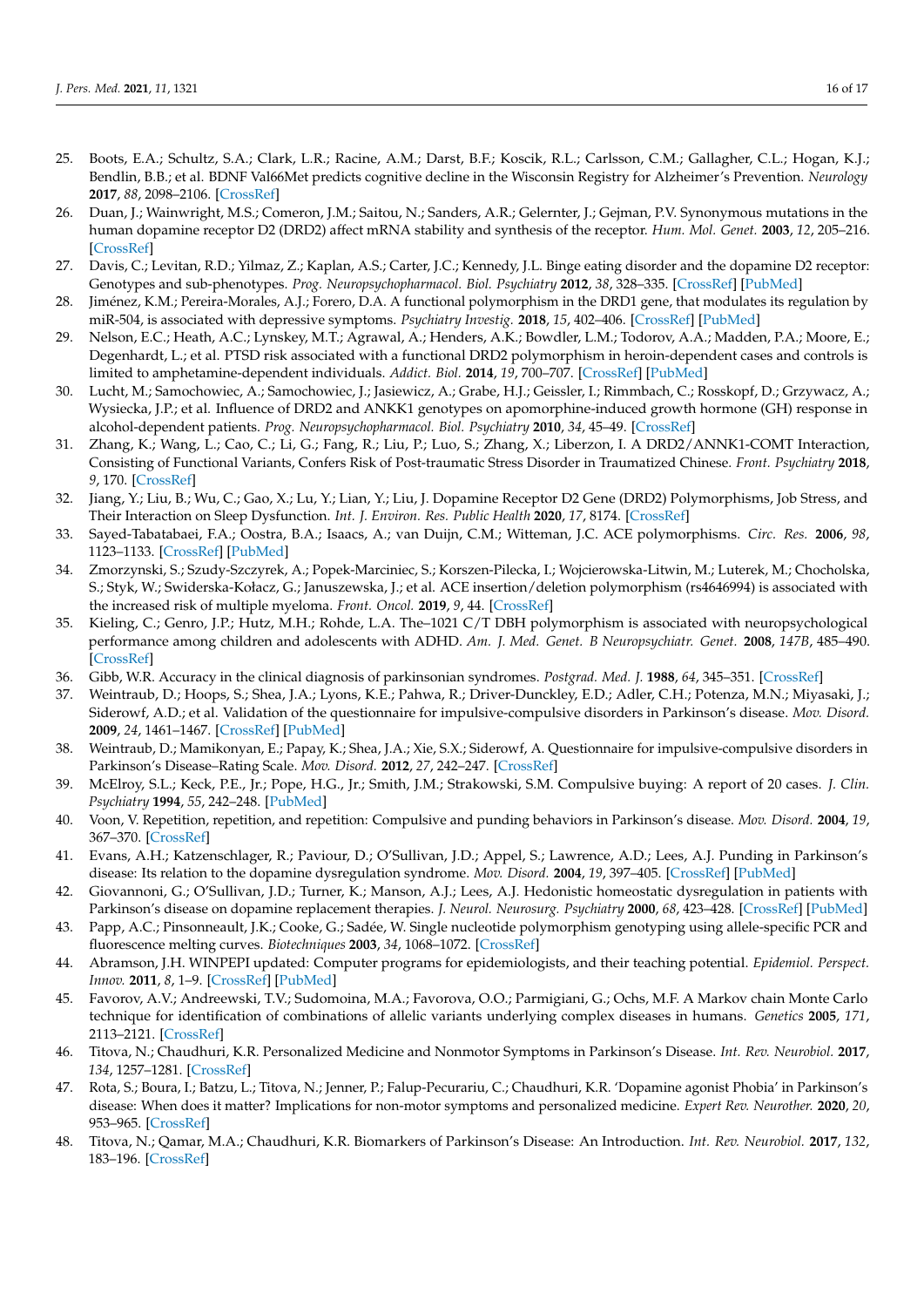- <span id="page-15-0"></span>25. Boots, E.A.; Schultz, S.A.; Clark, L.R.; Racine, A.M.; Darst, B.F.; Koscik, R.L.; Carlsson, C.M.; Gallagher, C.L.; Hogan, K.J.; Bendlin, B.B.; et al. BDNF Val66Met predicts cognitive decline in the Wisconsin Registry for Alzheimer's Prevention. *Neurology* **2017**, *88*, 2098–2106. [\[CrossRef\]](http://doi.org/10.1212/WNL.0000000000003980)
- <span id="page-15-1"></span>26. Duan, J.; Wainwright, M.S.; Comeron, J.M.; Saitou, N.; Sanders, A.R.; Gelernter, J.; Gejman, P.V. Synonymous mutations in the human dopamine receptor D2 (DRD2) affect mRNA stability and synthesis of the receptor. *Hum. Mol. Genet.* **2003**, *12*, 205–216. [\[CrossRef\]](http://doi.org/10.1093/hmg/ddg055)
- <span id="page-15-2"></span>27. Davis, C.; Levitan, R.D.; Yilmaz, Z.; Kaplan, A.S.; Carter, J.C.; Kennedy, J.L. Binge eating disorder and the dopamine D2 receptor: Genotypes and sub-phenotypes. *Prog. Neuropsychopharmacol. Biol. Psychiatry* **2012**, *38*, 328–335. [\[CrossRef\]](http://doi.org/10.1016/j.pnpbp.2012.05.002) [\[PubMed\]](http://www.ncbi.nlm.nih.gov/pubmed/22579533)
- <span id="page-15-3"></span>28. Jiménez, K.M.; Pereira-Morales, A.J.; Forero, D.A. A functional polymorphism in the DRD1 gene, that modulates its regulation by miR-504, is associated with depressive symptoms. *Psychiatry Investig.* **2018**, *15*, 402–406. [\[CrossRef\]](http://doi.org/10.30773/pi.2017.10.16.1) [\[PubMed\]](http://www.ncbi.nlm.nih.gov/pubmed/29614853)
- <span id="page-15-4"></span>29. Nelson, E.C.; Heath, A.C.; Lynskey, M.T.; Agrawal, A.; Henders, A.K.; Bowdler, L.M.; Todorov, A.A.; Madden, P.A.; Moore, E.; Degenhardt, L.; et al. PTSD risk associated with a functional DRD2 polymorphism in heroin-dependent cases and controls is limited to amphetamine-dependent individuals. *Addict. Biol.* **2014**, *19*, 700–707. [\[CrossRef\]](http://doi.org/10.1111/adb.12062) [\[PubMed\]](http://www.ncbi.nlm.nih.gov/pubmed/23647975)
- <span id="page-15-5"></span>30. Lucht, M.; Samochowiec, A.; Samochowiec, J.; Jasiewicz, A.; Grabe, H.J.; Geissler, I.; Rimmbach, C.; Rosskopf, D.; Grzywacz, A.; Wysiecka, J.P.; et al. Influence of DRD2 and ANKK1 genotypes on apomorphine-induced growth hormone (GH) response in alcohol-dependent patients. *Prog. Neuropsychopharmacol. Biol. Psychiatry* **2010**, *34*, 45–49. [\[CrossRef\]](http://doi.org/10.1016/j.pnpbp.2009.08.024)
- <span id="page-15-6"></span>31. Zhang, K.; Wang, L.; Cao, C.; Li, G.; Fang, R.; Liu, P.; Luo, S.; Zhang, X.; Liberzon, I. A DRD2/ANNK1-COMT Interaction, Consisting of Functional Variants, Confers Risk of Post-traumatic Stress Disorder in Traumatized Chinese. *Front. Psychiatry* **2018**, *9*, 170. [\[CrossRef\]](http://doi.org/10.3389/fpsyt.2018.00170)
- <span id="page-15-7"></span>32. Jiang, Y.; Liu, B.; Wu, C.; Gao, X.; Lu, Y.; Lian, Y.; Liu, J. Dopamine Receptor D2 Gene (DRD2) Polymorphisms, Job Stress, and Their Interaction on Sleep Dysfunction. *Int. J. Environ. Res. Public Health* **2020**, *17*, 8174. [\[CrossRef\]](http://doi.org/10.3390/ijerph17218174)
- <span id="page-15-8"></span>33. Sayed-Tabatabaei, F.A.; Oostra, B.A.; Isaacs, A.; van Duijn, C.M.; Witteman, J.C. ACE polymorphisms. *Circ. Res.* **2006**, *98*, 1123–1133. [\[CrossRef\]](http://doi.org/10.1161/01.RES.0000223145.74217.e7) [\[PubMed\]](http://www.ncbi.nlm.nih.gov/pubmed/16690893)
- <span id="page-15-9"></span>34. Zmorzynski, S.; Szudy-Szczyrek, A.; Popek-Marciniec, S.; Korszen-Pilecka, I.; Wojcierowska-Litwin, M.; Luterek, M.; Chocholska, S.; Styk, W.; Swiderska-Kołacz, G.; Januszewska, J.; et al. ACE insertion/deletion polymorphism (rs4646994) is associated with the increased risk of multiple myeloma. *Front. Oncol.* **2019**, *9*, 44. [\[CrossRef\]](http://doi.org/10.3389/fonc.2019.00044)
- <span id="page-15-10"></span>35. Kieling, C.; Genro, J.P.; Hutz, M.H.; Rohde, L.A. The–1021 C/T DBH polymorphism is associated with neuropsychological performance among children and adolescents with ADHD. *Am. J. Med. Genet. B Neuropsychiatr. Genet.* **2008**, *147B*, 485–490. [\[CrossRef\]](http://doi.org/10.1002/ajmg.b.30636)
- <span id="page-15-11"></span>36. Gibb, W.R. Accuracy in the clinical diagnosis of parkinsonian syndromes. *Postgrad. Med. J.* **1988**, *64*, 345–351. [\[CrossRef\]](http://doi.org/10.1136/pgmj.64.751.345)
- <span id="page-15-12"></span>37. Weintraub, D.; Hoops, S.; Shea, J.A.; Lyons, K.E.; Pahwa, R.; Driver-Dunckley, E.D.; Adler, C.H.; Potenza, M.N.; Miyasaki, J.; Siderowf, A.D.; et al. Validation of the questionnaire for impulsive-compulsive disorders in Parkinson's disease. *Mov. Disord.* **2009**, *24*, 1461–1467. [\[CrossRef\]](http://doi.org/10.1002/mds.22571) [\[PubMed\]](http://www.ncbi.nlm.nih.gov/pubmed/19452562)
- <span id="page-15-13"></span>38. Weintraub, D.; Mamikonyan, E.; Papay, K.; Shea, J.A.; Xie, S.X.; Siderowf, A. Questionnaire for impulsive-compulsive disorders in Parkinson's Disease–Rating Scale. *Mov. Disord.* **2012**, *27*, 242–247. [\[CrossRef\]](http://doi.org/10.1002/mds.24023)
- <span id="page-15-14"></span>39. McElroy, S.L.; Keck, P.E., Jr.; Pope, H.G., Jr.; Smith, J.M.; Strakowski, S.M. Compulsive buying: A report of 20 cases. *J. Clin. Psychiatry* **1994**, *55*, 242–248. [\[PubMed\]](http://www.ncbi.nlm.nih.gov/pubmed/8071278)
- <span id="page-15-15"></span>40. Voon, V. Repetition, repetition, and repetition: Compulsive and punding behaviors in Parkinson's disease. *Mov. Disord.* **2004**, *19*, 367–370. [\[CrossRef\]](http://doi.org/10.1002/mds.20046)
- <span id="page-15-16"></span>41. Evans, A.H.; Katzenschlager, R.; Paviour, D.; O'Sullivan, J.D.; Appel, S.; Lawrence, A.D.; Lees, A.J. Punding in Parkinson's disease: Its relation to the dopamine dysregulation syndrome. *Mov. Disord.* **2004**, *19*, 397–405. [\[CrossRef\]](http://doi.org/10.1002/mds.20045) [\[PubMed\]](http://www.ncbi.nlm.nih.gov/pubmed/15077237)
- <span id="page-15-17"></span>42. Giovannoni, G.; O'Sullivan, J.D.; Turner, K.; Manson, A.J.; Lees, A.J. Hedonistic homeostatic dysregulation in patients with Parkinson's disease on dopamine replacement therapies. *J. Neurol. Neurosurg. Psychiatry* **2000**, *68*, 423–428. [\[CrossRef\]](http://doi.org/10.1136/jnnp.68.4.423) [\[PubMed\]](http://www.ncbi.nlm.nih.gov/pubmed/10727476)
- <span id="page-15-18"></span>43. Papp, A.C.; Pinsonneault, J.K.; Cooke, G.; Sadée, W. Single nucleotide polymorphism genotyping using allele-specific PCR and fluorescence melting curves. *Biotechniques* **2003**, *34*, 1068–1072. [\[CrossRef\]](http://doi.org/10.2144/03345dd03)
- <span id="page-15-19"></span>44. Abramson, J.H. WINPEPI updated: Computer programs for epidemiologists, and their teaching potential. *Epidemiol. Perspect. Innov.* **2011**, *8*, 1–9. [\[CrossRef\]](http://doi.org/10.1186/1742-5573-8-1) [\[PubMed\]](http://www.ncbi.nlm.nih.gov/pubmed/21288353)
- <span id="page-15-20"></span>45. Favorov, A.V.; Andreewski, T.V.; Sudomoina, M.A.; Favorova, O.O.; Parmigiani, G.; Ochs, M.F. A Markov chain Monte Carlo technique for identification of combinations of allelic variants underlying complex diseases in humans. *Genetics* **2005**, *171*, 2113–2121. [\[CrossRef\]](http://doi.org/10.1534/genetics.105.048090)
- <span id="page-15-21"></span>46. Titova, N.; Chaudhuri, K.R. Personalized Medicine and Nonmotor Symptoms in Parkinson's Disease. *Int. Rev. Neurobiol.* **2017**, *134*, 1257–1281. [\[CrossRef\]](http://doi.org/10.1016/bs.irn.2017.05.015)
- <span id="page-15-22"></span>47. Rota, S.; Boura, I.; Batzu, L.; Titova, N.; Jenner, P.; Falup-Pecurariu, C.; Chaudhuri, K.R. 'Dopamine agonist Phobia' in Parkinson's disease: When does it matter? Implications for non-motor symptoms and personalized medicine. *Expert Rev. Neurother.* **2020**, *20*, 953–965. [\[CrossRef\]](http://doi.org/10.1080/14737175.2020.1806059)
- <span id="page-15-23"></span>48. Titova, N.; Qamar, M.A.; Chaudhuri, K.R. Biomarkers of Parkinson's Disease: An Introduction. *Int. Rev. Neurobiol.* **2017**, *132*, 183–196. [\[CrossRef\]](http://doi.org/10.1016/bs.irn.2017.03.003)